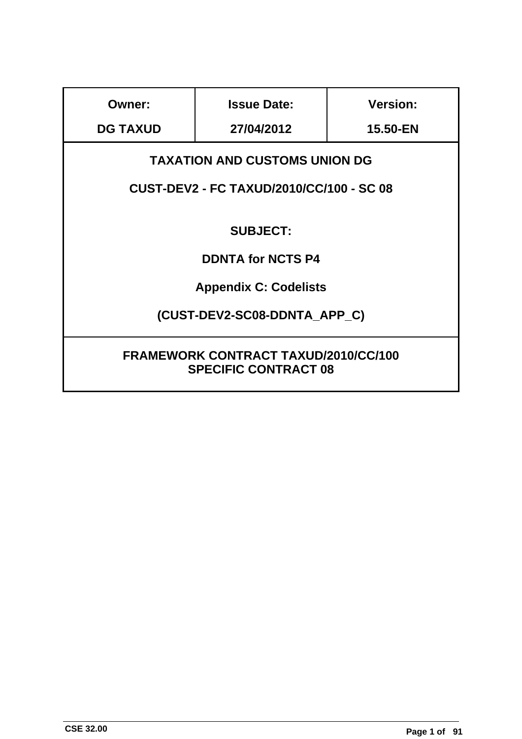| <b>Owner:</b>                                                              | <b>Issue Date:</b>                   | <b>Version:</b> |  |
|----------------------------------------------------------------------------|--------------------------------------|-----------------|--|
| <b>DG TAXUD</b>                                                            | 27/04/2012                           | 15.50-EN        |  |
|                                                                            | <b>TAXATION AND CUSTOMS UNION DG</b> |                 |  |
| <b>CUST-DEV2 - FC TAXUD/2010/CC/100 - SC 08</b>                            |                                      |                 |  |
| <b>SUBJECT:</b>                                                            |                                      |                 |  |
| <b>DDNTA for NCTS P4</b>                                                   |                                      |                 |  |
| <b>Appendix C: Codelists</b>                                               |                                      |                 |  |
| (CUST-DEV2-SC08-DDNTA APP C)                                               |                                      |                 |  |
| <b>FRAMEWORK CONTRACT TAXUD/2010/CC/100</b><br><b>SPECIFIC CONTRACT 08</b> |                                      |                 |  |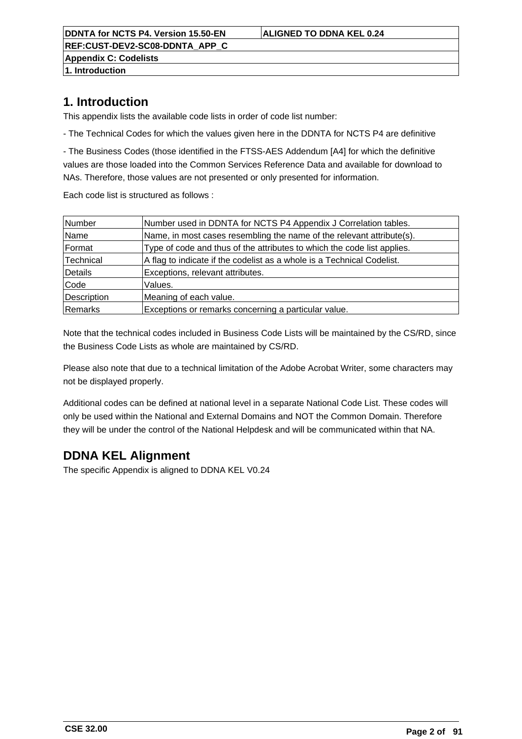**DDNTA for NCTS P4. Version 15.50-EN ALIGNED TO DDNA KEL 0.24 REF:CUST-DEV2-SC08-DDNTA\_APP\_C**

**Appendix C: Codelists**

**1. Introduction**

# **1. Introduction**

This appendix lists the available code lists in order of code list number:

- The Technical Codes for which the values given here in the DDNTA for NCTS P4 are definitive

- The Business Codes (those identified in the FTSS-AES Addendum [A4] for which the definitive values are those loaded into the Common Services Reference Data and available for download to NAs. Therefore, those values are not presented or only presented for information.

Each code list is structured as follows :

| Number      | Number used in DDNTA for NCTS P4 Appendix J Correlation tables.         |
|-------------|-------------------------------------------------------------------------|
| Name        | Name, in most cases resembling the name of the relevant attribute(s).   |
| Format      | Type of code and thus of the attributes to which the code list applies. |
| Technical   | A flag to indicate if the codelist as a whole is a Technical Codelist.  |
| Details     | Exceptions, relevant attributes.                                        |
| Code        | Values.                                                                 |
| Description | Meaning of each value.                                                  |
| Remarks     | Exceptions or remarks concerning a particular value.                    |

Note that the technical codes included in Business Code Lists will be maintained by the CS/RD, since the Business Code Lists as whole are maintained by CS/RD.

Please also note that due to a technical limitation of the Adobe Acrobat Writer, some characters may not be displayed properly.

Additional codes can be defined at national level in a separate National Code List. These codes will only be used within the National and External Domains and NOT the Common Domain. Therefore they will be under the control of the National Helpdesk and will be communicated within that NA.

# **DDNA KEL Alignment**

The specific Appendix is aligned to DDNA KEL V0.24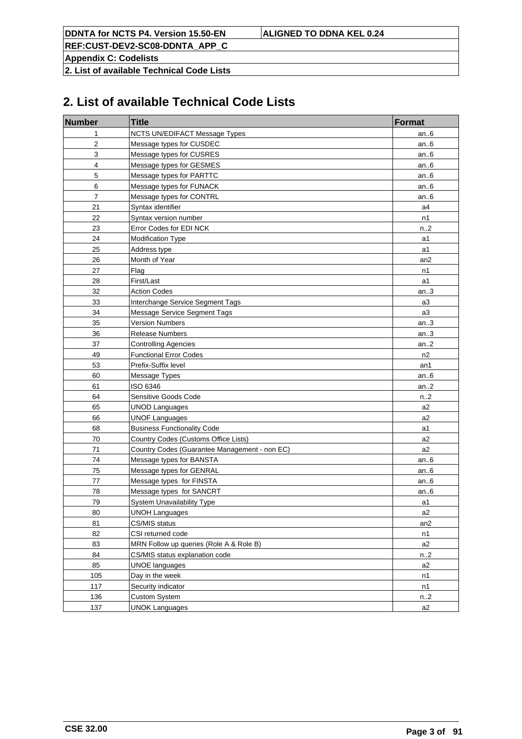**REF:CUST-DEV2-SC08-DDNTA\_APP\_C**

**Appendix C: Codelists**

**2. List of available Technical Code Lists**

# **2. List of available Technical Code Lists**

| <b>Number</b>  | <b>Title</b>                                  | <b>Format</b>   |
|----------------|-----------------------------------------------|-----------------|
| 1              | NCTS UN/EDIFACT Message Types                 | an6             |
| 2              | Message types for CUSDEC                      | an $6$          |
| 3              | Message types for CUSRES                      | an $6$          |
| 4              | Message types for GESMES                      | an $6$          |
| 5              | Message types for PARTTC                      | an $6$          |
| 6              | Message types for FUNACK                      | an $6$          |
| $\overline{7}$ | Message types for CONTRL                      | an $6$          |
| 21             | Syntax identifier                             | a4              |
| 22             | Syntax version number                         | n1              |
| 23             | Error Codes for EDI NCK                       | n2              |
| 24             | Modification Type                             | a1              |
| 25             | Address type                                  | a1              |
| 26             | Month of Year                                 | an2             |
| 27             | Flag                                          | n1              |
| 28             | First/Last                                    | a1              |
| 32             | <b>Action Codes</b>                           | an.3            |
| 33             | Interchange Service Segment Tags              | a3              |
| 34             | Message Service Segment Tags                  | a3              |
| 35             | <b>Version Numbers</b>                        | an.3            |
| 36             | <b>Release Numbers</b>                        | an.3            |
| 37             | <b>Controlling Agencies</b>                   | an.2            |
| 49             | <b>Functional Error Codes</b>                 | n2              |
| 53             | Prefix-Suffix level                           | an1             |
| 60             | Message Types                                 | an $6$          |
| 61             | ISO 6346                                      | an.2            |
| 64             | Sensitive Goods Code                          | n.2             |
| 65             | <b>UNOD Languages</b>                         | a2              |
| 66             | <b>UNOF Languages</b>                         | a <sub>2</sub>  |
| 68             | <b>Business Functionality Code</b>            | a1              |
| 70             | Country Codes (Customs Office Lists)          | a <sub>2</sub>  |
| 71             | Country Codes (Guarantee Management - non EC) | a <sub>2</sub>  |
| 74             | Message types for BANSTA                      | an $6$          |
| 75             | Message types for GENRAL                      | an $6$          |
| 77             | Message types for FINSTA                      | an $6$          |
| 78             | Message types for SANCRT                      | an $6$          |
| 79             | System Unavailability Type                    | a1              |
| 80             | <b>UNOH Languages</b>                         | a2              |
| 81             | CS/MIS status                                 | an <sub>2</sub> |
| 82             | CSI returned code                             | n1              |
| 83             | MRN Follow up queries (Role A & Role B)       | a2              |
| 84             | CS/MIS status explanation code                | n.2             |
| 85             | <b>UNOE languages</b>                         | a2              |
| 105            | Day in the week                               | n1              |
| 117            | Security indicator                            | n1              |
| 136            | <b>Custom System</b>                          | n2              |
| 137            | <b>UNOK Languages</b>                         | a2              |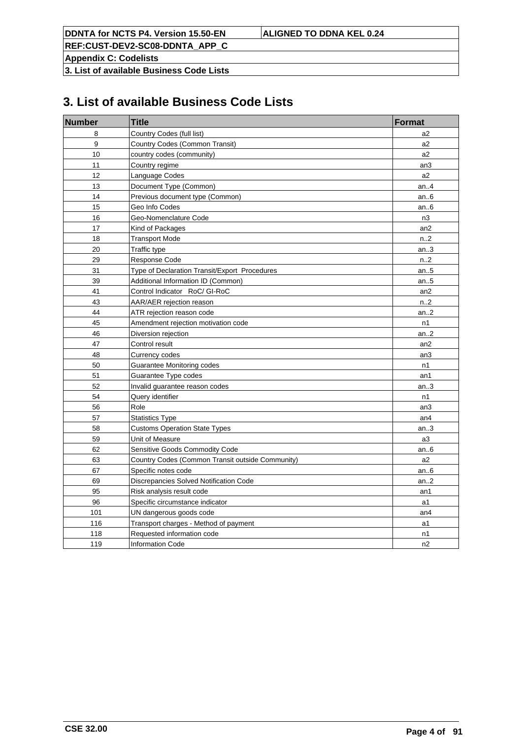**REF:CUST-DEV2-SC08-DDNTA\_APP\_C**

**Appendix C: Codelists**

**3. List of available Business Code Lists**

# **3. List of available Business Code Lists**

| <b>Number</b>    | <b>Title</b>                                     | <b>Format</b>    |
|------------------|--------------------------------------------------|------------------|
| 8                | Country Codes (full list)                        | a2               |
| $\boldsymbol{9}$ | Country Codes (Common Transit)                   | a <sub>2</sub>   |
| 10               | country codes (community)                        | a2               |
| 11               | Country regime                                   | an3              |
| 12               | Language Codes                                   | a <sub>2</sub>   |
| 13               | Document Type (Common)                           | an. $4$          |
| 14               | Previous document type (Common)                  | an.6             |
| 15               | Geo Info Codes                                   | an.6             |
| 16               | Geo-Nomenclature Code                            | n <sub>3</sub>   |
| 17               | Kind of Packages                                 | an2              |
| 18               | <b>Transport Mode</b>                            | n2               |
| 20               | Traffic type                                     | an $3$           |
| 29               | Response Code                                    | n.2              |
| 31               | Type of Declaration Transit/Export Procedures    | an.5             |
| 39               | Additional Information ID (Common)               | an $.5$          |
| 41               | Control Indicator RoC/ GI-RoC                    | an <sub>2</sub>  |
| 43               | AAR/AER rejection reason                         | n <sub>1</sub> 2 |
| 44               | ATR rejection reason code                        | an.2             |
| 45               | Amendment rejection motivation code              | n1               |
| 46               | Diversion rejection                              | an.2             |
| 47               | Control result                                   | an <sub>2</sub>  |
| 48               | Currency codes                                   | an3              |
| 50               | Guarantee Monitoring codes                       | n1               |
| 51               | Guarantee Type codes                             | an1              |
| 52               | Invalid guarantee reason codes                   | an.3             |
| 54               | Query identifier                                 | n1               |
| 56               | Role                                             | an3              |
| 57               | <b>Statistics Type</b>                           | an4              |
| 58               | <b>Customs Operation State Types</b>             | an.3             |
| 59               | Unit of Measure                                  | a3               |
| 62               | Sensitive Goods Commodity Code                   | an.6             |
| 63               | Country Codes (Common Transit outside Community) | a2               |
| 67               | Specific notes code                              | an $6$           |
| 69               | Discrepancies Solved Notification Code           | an.2             |
| 95               | Risk analysis result code                        | an1              |
| 96               | Specific circumstance indicator                  | a1               |
| 101              | UN dangerous goods code                          | an4              |
| 116              | Transport charges - Method of payment            | a1               |
| 118              | Requested information code                       | n1               |
| 119              | <b>Information Code</b>                          | n2               |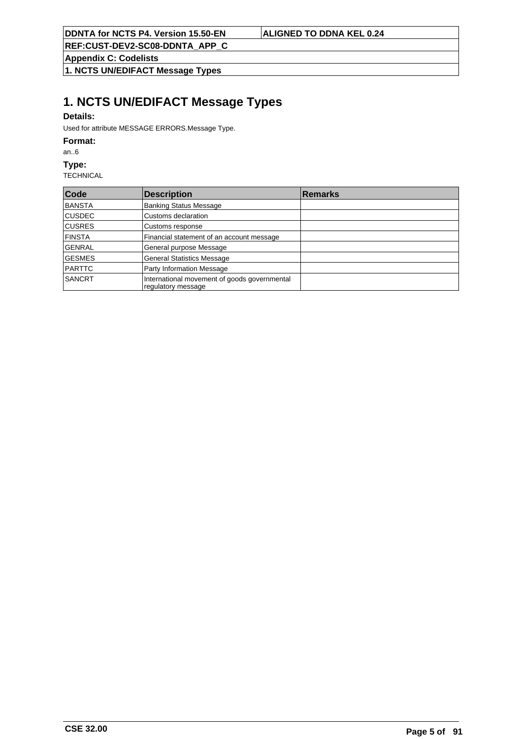**Appendix C: Codelists**

**1. NCTS UN/EDIFACT Message Types**

# **1. NCTS UN/EDIFACT Message Types**

## **Details:**

Used for attribute MESSAGE ERRORS.Message Type.

## **Format:**

an..6

## **Type:**

| Code          | <b>Description</b>                                                 | <b>Remarks</b> |
|---------------|--------------------------------------------------------------------|----------------|
| BANSTA        | <b>Banking Status Message</b>                                      |                |
| <b>CUSDEC</b> | Customs declaration                                                |                |
| <b>CUSRES</b> | Customs response                                                   |                |
| <b>FINSTA</b> | Financial statement of an account message                          |                |
| <b>GENRAL</b> | General purpose Message                                            |                |
| <b>GESMES</b> | <b>General Statistics Message</b>                                  |                |
| PARTTC        | Party Information Message                                          |                |
| <b>SANCRT</b> | International movement of goods governmental<br>regulatory message |                |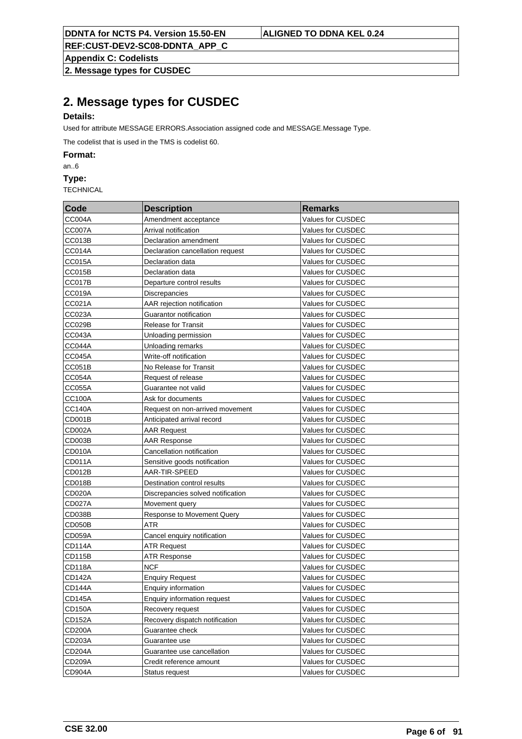**Appendix C: Codelists**

**2. Message types for CUSDEC**

# **2. Message types for CUSDEC**

## **Details:**

Used for attribute MESSAGE ERRORS.Association assigned code and MESSAGE.Message Type.

The codelist that is used in the TMS is codelist 60.

**Format:**

an..6

**Type:**

| Code          | <b>Description</b>                 | <b>Remarks</b>    |
|---------------|------------------------------------|-------------------|
| <b>CC004A</b> | Amendment acceptance               | Values for CUSDEC |
| CC007A        | Arrival notification               | Values for CUSDEC |
| CC013B        | Declaration amendment              | Values for CUSDEC |
| CC014A        | Declaration cancellation request   | Values for CUSDEC |
| CC015A        | Declaration data                   | Values for CUSDEC |
| CC015B        | Declaration data                   | Values for CUSDEC |
| CC017B        | Departure control results          | Values for CUSDEC |
| CC019A        | <b>Discrepancies</b>               | Values for CUSDEC |
| CC021A        | AAR rejection notification         | Values for CUSDEC |
| CC023A        | Guarantor notification             | Values for CUSDEC |
| CC029B        | <b>Release for Transit</b>         | Values for CUSDEC |
| CC043A        | Unloading permission               | Values for CUSDEC |
| <b>CC044A</b> | Unloading remarks                  | Values for CUSDEC |
| <b>CC045A</b> | Write-off notification             | Values for CUSDEC |
| CC051B        | No Release for Transit             | Values for CUSDEC |
| CC054A        | Request of release                 | Values for CUSDEC |
| CC055A        | Guarantee not valid                | Values for CUSDEC |
| <b>CC100A</b> | Ask for documents                  | Values for CUSDEC |
| <b>CC140A</b> | Request on non-arrived movement    | Values for CUSDEC |
| CD001B        | Anticipated arrival record         | Values for CUSDEC |
| CD002A        | <b>AAR Request</b>                 | Values for CUSDEC |
| CD003B        | <b>AAR Response</b>                | Values for CUSDEC |
| CD010A        | Cancellation notification          | Values for CUSDEC |
| CD011A        | Sensitive goods notification       | Values for CUSDEC |
| CD012B        | AAR-TIR-SPEED                      | Values for CUSDEC |
| CD018B        | Destination control results        | Values for CUSDEC |
| CD020A        | Discrepancies solved notification  | Values for CUSDEC |
| <b>CD027A</b> | Movement query                     | Values for CUSDEC |
| CD038B        | Response to Movement Query         | Values for CUSDEC |
| CD050B        | ATR                                | Values for CUSDEC |
| CD059A        | Cancel enquiry notification        | Values for CUSDEC |
| <b>CD114A</b> | <b>ATR Request</b>                 | Values for CUSDEC |
| <b>CD115B</b> | <b>ATR Response</b>                | Values for CUSDEC |
| <b>CD118A</b> | <b>NCF</b>                         | Values for CUSDEC |
| <b>CD142A</b> | <b>Enquiry Request</b>             | Values for CUSDEC |
| <b>CD144A</b> | Enquiry information                | Values for CUSDEC |
| <b>CD145A</b> | <b>Enquiry information request</b> | Values for CUSDEC |
| <b>CD150A</b> | Recovery request                   | Values for CUSDEC |
| <b>CD152A</b> | Recovery dispatch notification     | Values for CUSDEC |
| CD200A        | Guarantee check                    | Values for CUSDEC |
| CD203A        | Guarantee use                      | Values for CUSDEC |
| CD204A        | Guarantee use cancellation         | Values for CUSDEC |
| CD209A        | Credit reference amount            | Values for CUSDEC |
| CD904A        | Status request                     | Values for CUSDEC |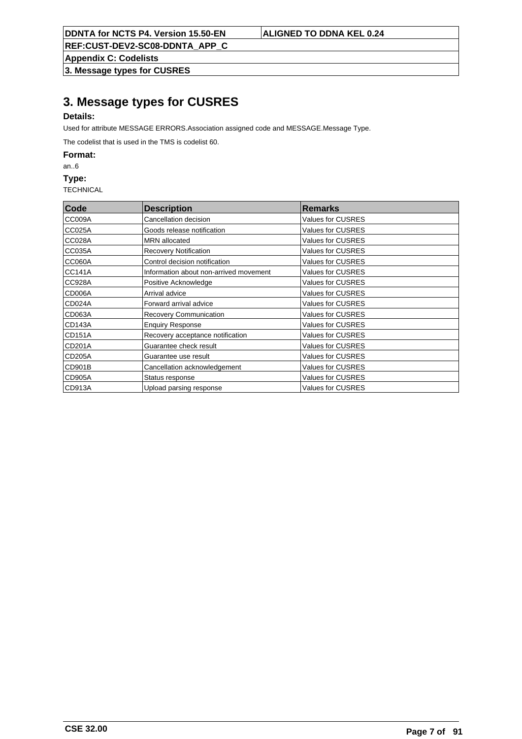**Appendix C: Codelists**

**3. Message types for CUSRES**

# **3. Message types for CUSRES**

# **Details:**

Used for attribute MESSAGE ERRORS.Association assigned code and MESSAGE.Message Type.

The codelist that is used in the TMS is codelist 60.

**Format:**

an..6

**Type:**

| Code          | <b>Description</b>                     | <b>Remarks</b>           |
|---------------|----------------------------------------|--------------------------|
| CC009A        | Cancellation decision                  | Values for CUSRES        |
| CC025A        | Goods release notification             | Values for CUSRES        |
| CC028A        | <b>MRN</b> allocated                   | Values for CUSRES        |
| CC035A        | <b>Recovery Notification</b>           | Values for CUSRES        |
| CC060A        | Control decision notification          | Values for CUSRES        |
| CC141A        | Information about non-arrived movement | <b>Values for CUSRES</b> |
| CC928A        | Positive Acknowledge                   | Values for CUSRES        |
| CD006A        | Arrival advice                         | Values for CUSRES        |
| CD024A        | Forward arrival advice                 | Values for CUSRES        |
| CD063A        | Recovery Communication                 | Values for CUSRES        |
| CD143A        | <b>Enquiry Response</b>                | Values for CUSRES        |
| CD151A        | Recovery acceptance notification       | Values for CUSRES        |
| CD201A        | Guarantee check result                 | Values for CUSRES        |
| <b>CD205A</b> | Guarantee use result                   | Values for CUSRES        |
| CD901B        | Cancellation acknowledgement           | Values for CUSRES        |
| CD905A        | Status response                        | Values for CUSRES        |
| CD913A        | Upload parsing response                | Values for CUSRES        |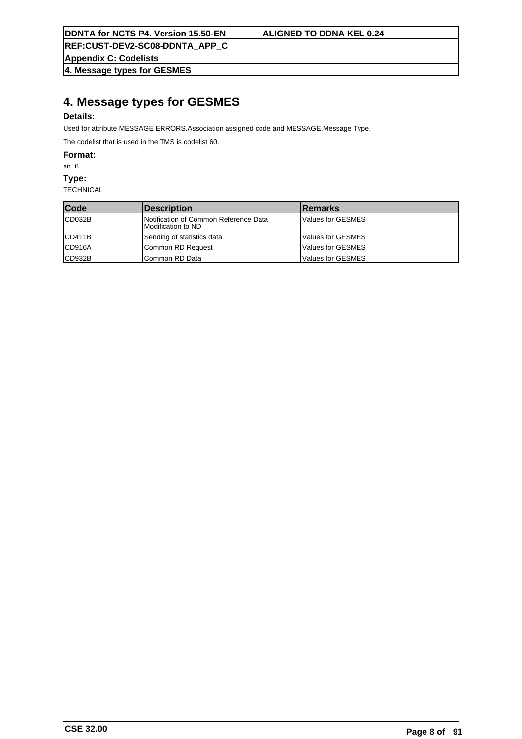**Appendix C: Codelists**

**4. Message types for GESMES**

# **4. Message types for GESMES**

# **Details:**

Used for attribute MESSAGE ERRORS.Association assigned code and MESSAGE.Message Type.

The codelist that is used in the TMS is codelist 60.

**Format:**

an..6

**Type:**

| Code              | Description                                                   | <b>Remarks</b>    |
|-------------------|---------------------------------------------------------------|-------------------|
| CD032B            | Notification of Common Reference Data<br>IModification to ND. | Values for GESMES |
| CD411B            | Sending of statistics data                                    | Values for GESMES |
| CD916A            | Common RD Request                                             | Values for GESMES |
| $\mathsf{CD932B}$ | Common RD Data                                                | Values for GESMES |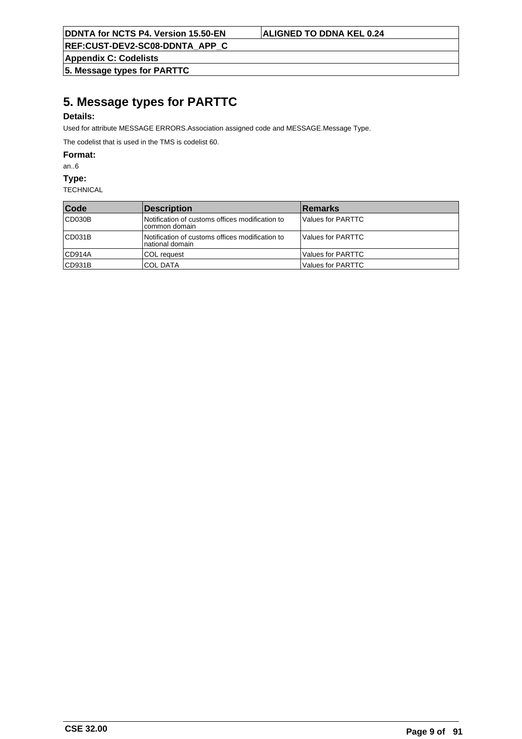**REF:CUST-DEV2-SC08-DDNTA\_APP\_C**

**Appendix C: Codelists**

**5. Message types for PARTTC**

# **5. Message types for PARTTC**

## **Details:**

Used for attribute MESSAGE ERRORS.Association assigned code and MESSAGE.Message Type.

The codelist that is used in the TMS is codelist 60.

**Format:**

an..6

**Type:**

| Code   | Description                                                         | <b>Remarks</b>      |
|--------|---------------------------------------------------------------------|---------------------|
| CD030B | Notification of customs offices modification to<br>common domain    | Values for PARTTC   |
| CD031B | Notification of customs offices modification to<br>Inational domain | Values for PARTTC   |
| CD914A | ICOL reauest                                                        | l Values for PARTTC |
| CD931B | ICOL DATA                                                           | l Values for PARTTC |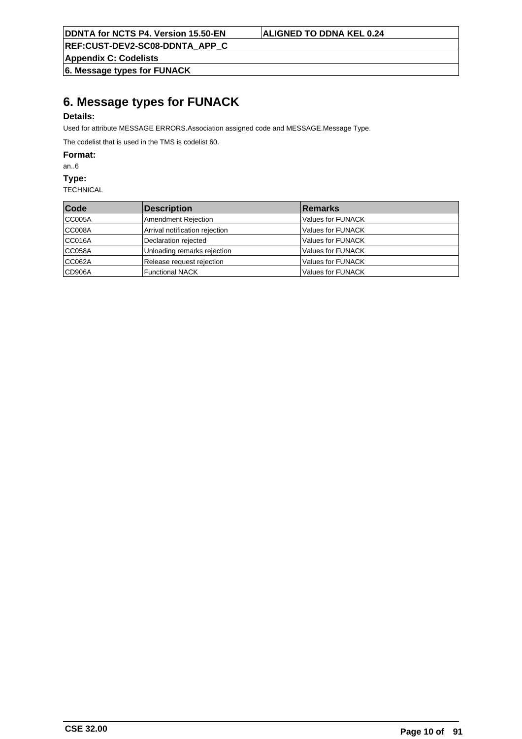**Appendix C: Codelists**

**6. Message types for FUNACK**

# **6. Message types for FUNACK**

# **Details:**

Used for attribute MESSAGE ERRORS.Association assigned code and MESSAGE.Message Type.

The codelist that is used in the TMS is codelist 60.

**Format:**

an..6

**Type:**

| Code   | Description                    | <b>Remarks</b>    |
|--------|--------------------------------|-------------------|
| CC005A | Amendment Rejection            | Values for FUNACK |
| CC008A | Arrival notification rejection | Values for FUNACK |
| CC016A | Declaration rejected           | Values for FUNACK |
| CC058A | Unloading remarks rejection    | Values for FUNACK |
| CC062A | Release request rejection      | Values for FUNACK |
| CD906A | Functional NACK                | Values for FUNACK |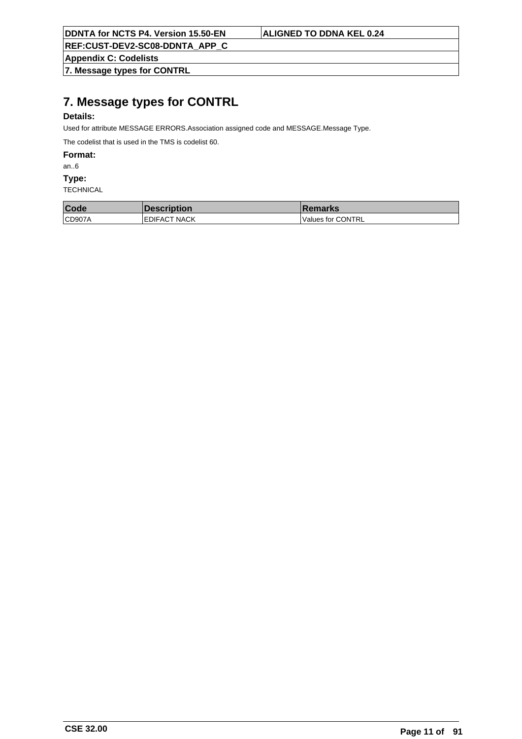**REF:CUST-DEV2-SC08-DDNTA\_APP\_C**

**Appendix C: Codelists**

**7. Message types for CONTRL**

# **7. Message types for CONTRL**

# **Details:**

Used for attribute MESSAGE ERRORS.Association assigned code and MESSAGE.Message Type.

The codelist that is used in the TMS is codelist 60.

**Format:**

an..6

**Type:**

| Code   | <b>Description</b>   | <b>Remarks</b>    |
|--------|----------------------|-------------------|
| CD907A | <b>IEDIFACT NACK</b> | Values for CONTRL |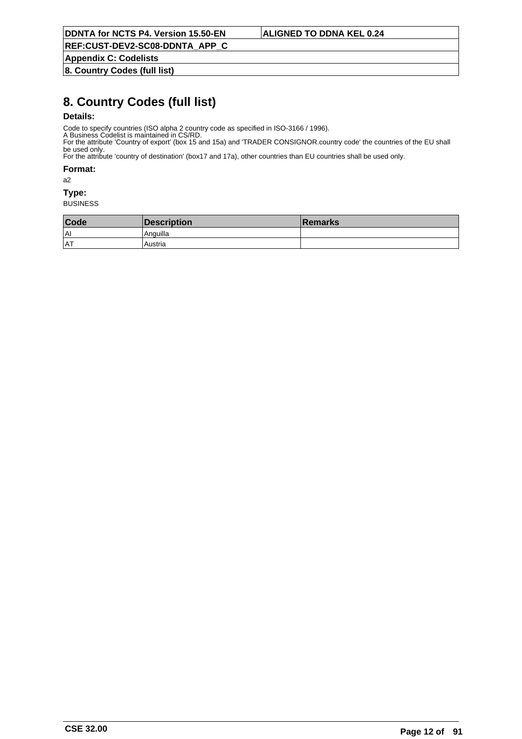**Appendix C: Codelists**

**8. Country Codes (full list)**

# **8. Country Codes (full list)**

## **Details:**

Code to specify countries (ISO alpha 2 country code as specified in ISO-3166 / 1996).

A Business Codelist is maintained in CS/RD. For the attribute 'Country of export' (box 15 and 15a) and 'TRADER CONSIGNOR.country code' the countries of the EU shall be used only.

For the attribute 'country of destination' (box17 and 17a), other countries than EU countries shall be used only.

**Format:**

a2

### **Type:**

| Code       | <b>Description</b> | <b>Remarks</b> |
|------------|--------------------|----------------|
| lAI        | Anguilla           |                |
| <b>IAT</b> | Austria            |                |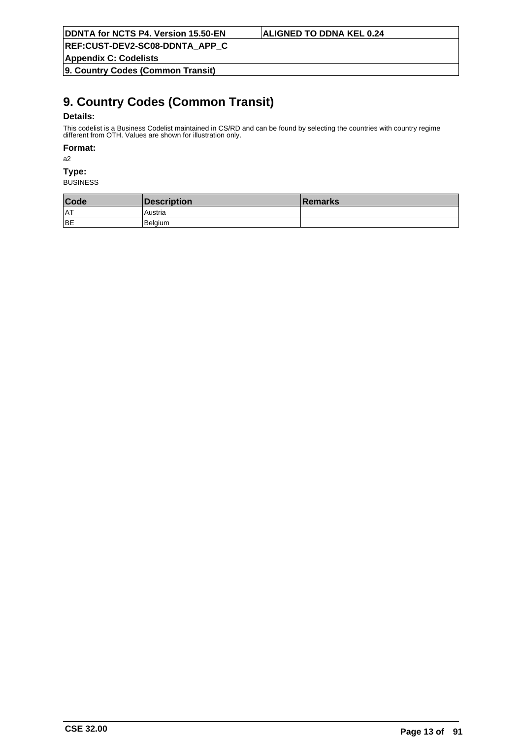**REF:CUST-DEV2-SC08-DDNTA\_APP\_C**

**Appendix C: Codelists**

**9. Country Codes (Common Transit)**

# **9. Country Codes (Common Transit)**

## **Details:**

This codelist is a Business Codelist maintained in CS/RD and can be found by selecting the countries with country regime different from OTH. Values are shown for illustration only.

### **Format:**

a2

# **Type:**

| Code       | Description | ∣Remarks |
|------------|-------------|----------|
| <b>IAT</b> | Austria     |          |
| BE         | Belaium     |          |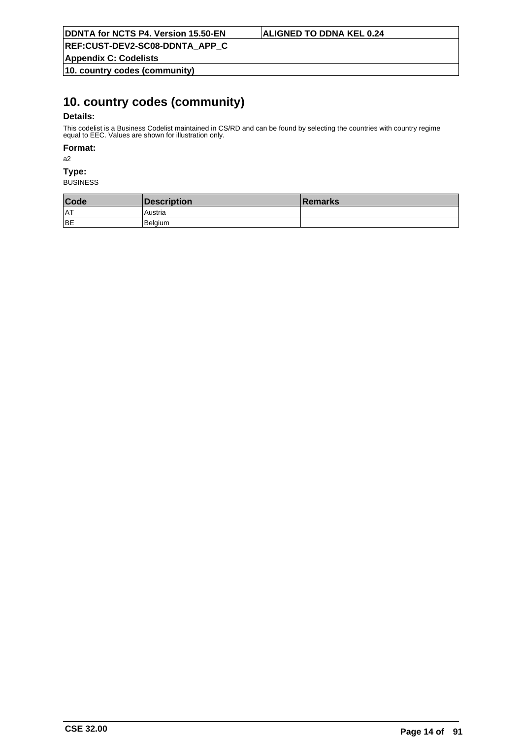**Appendix C: Codelists**

**10. country codes (community)**

# **10. country codes (community)**

## **Details:**

This codelist is a Business Codelist maintained in CS/RD and can be found by selecting the countries with country regime equal to EEC. Values are shown for illustration only.

### **Format:**

a2

# **Type:**

| Code       | <b>Description</b> | ∣Remarks |
|------------|--------------------|----------|
| <b>IAT</b> | Austria            |          |
| BE         | l Belaium          |          |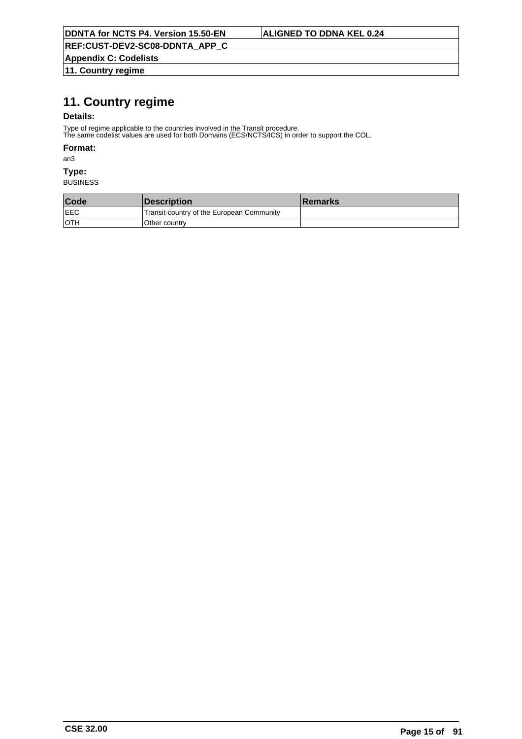**Appendix C: Codelists 11. Country regime**

# **11. Country regime**

## **Details:**

Type of regime applicable to the countries involved in the Transit procedure.

The same codelist values are used for both Domains (ECS/NCTS/ICS) in order to support the COL.

### **Format:**

an3

# **Type:**

| Code        | <b>Description</b>                        | ⊺Remarks |
|-------------|-------------------------------------------|----------|
| <b>LEEC</b> | Transit-country of the European Community |          |
| ∣oth        | Other country                             |          |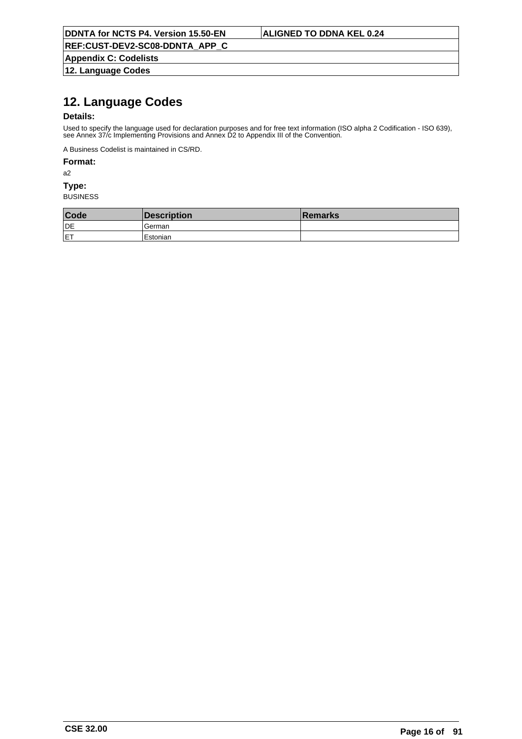**Appendix C: Codelists 12. Language Codes**

# **12. Language Codes**

## **Details:**

Used to specify the language used for declaration purposes and for free text information (ISO alpha 2 Codification - ISO 639), see Annex 37/c Implementing Provisions and Annex D2 to Appendix III of the Convention.

A Business Codelist is maintained in CS/RD.

## **Format:**

a2

## **Type:**

| <b>Code</b> | Description | <b>Remarks</b> |
|-------------|-------------|----------------|
| DE          | German      |                |
| <b>IET</b>  | 'Estonian   |                |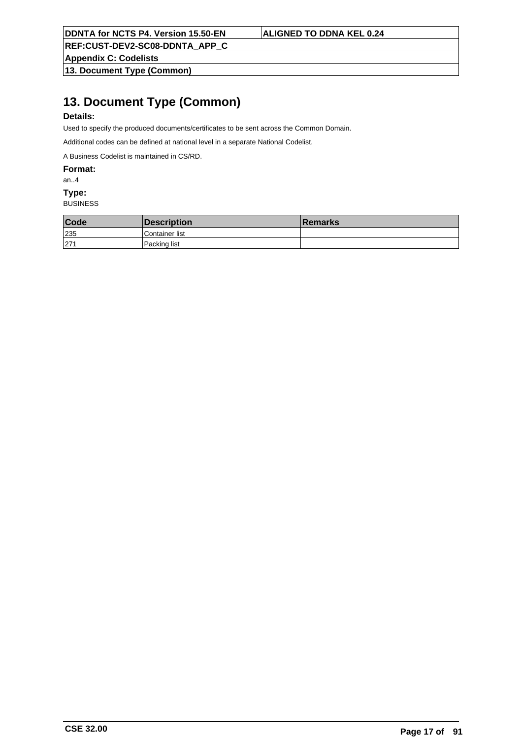**Appendix C: Codelists**

**13. Document Type (Common)**

# **13. Document Type (Common)**

## **Details:**

Used to specify the produced documents/certificates to be sent across the Common Domain.

Additional codes can be defined at national level in a separate National Codelist.

A Business Codelist is maintained in CS/RD.

**Format:**

### an..4

### **Type:**

| Code | <b>Description</b> | <b>Remarks</b> |
|------|--------------------|----------------|
| 235  | Container list     |                |
| 1271 | Packing list       |                |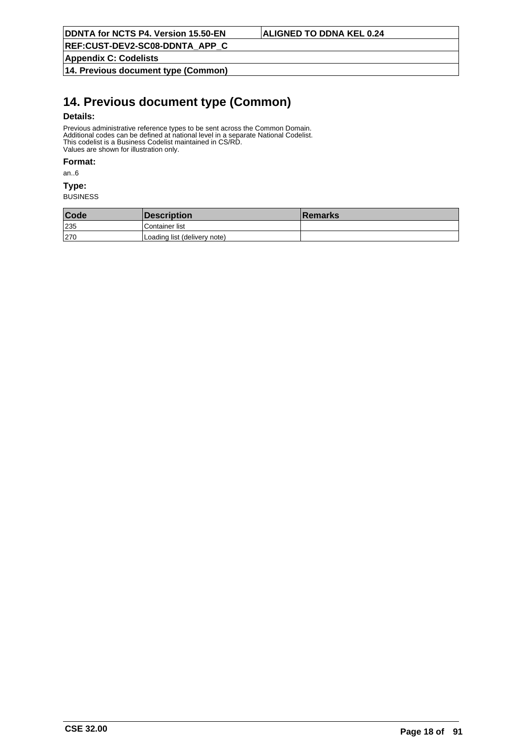**Appendix C: Codelists**

**14. Previous document type (Common)**

# **14. Previous document type (Common)**

### **Details:**

Previous administrative reference types to be sent across the Common Domain. Additional codes can be defined at national level in a separate National Codelist. This codelist is a Business Codelist maintained in CS/RD. Values are shown for illustration only.

### **Format:**

an..6

### **Type:**

| Code | <b>Description</b>           | <b>Remarks</b> |
|------|------------------------------|----------------|
| 235  | Container list               |                |
| 270  | Loading list (delivery note) |                |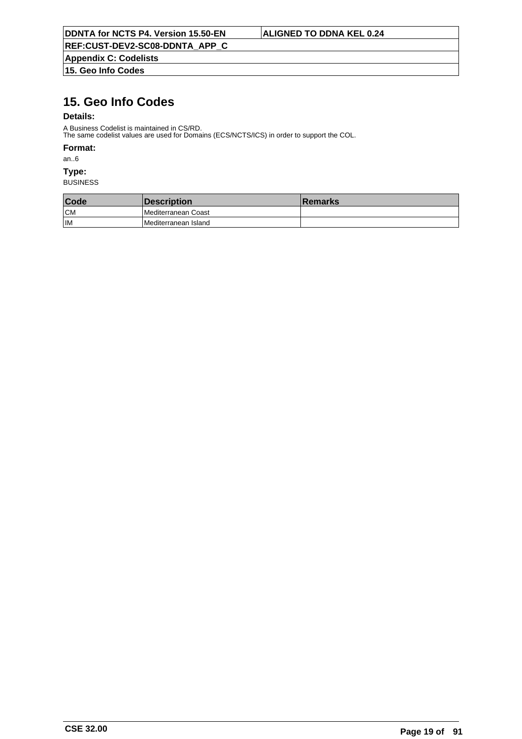**Appendix C: Codelists 15. Geo Info Codes**

# **15. Geo Info Codes**

## **Details:**

A Business Codelist is maintained in CS/RD. The same codelist values are used for Domains (ECS/NCTS/ICS) in order to support the COL.

### **Format:**

an..6

## **Type:**

| Code | <i><b>Description</b></i>   | ∣Remarks |
|------|-----------------------------|----------|
| CM   | <b>IMediterranean Coast</b> |          |
| l IM | Mediterranean Island        |          |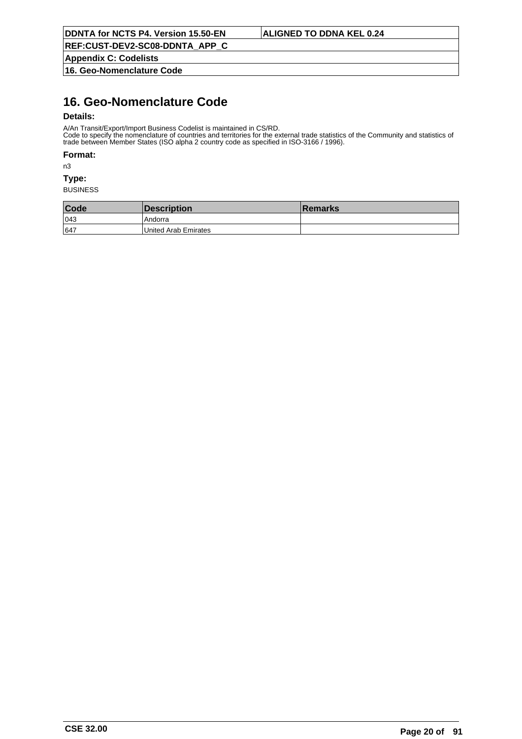**Appendix C: Codelists**

**16. Geo-Nomenclature Code**

# **16. Geo-Nomenclature Code**

## **Details:**

A/An Transit/Export/Import Business Codelist is maintained in CS/RD.

Code to specify the nomenclature of countries and territories for the external trade statistics of the Community and statistics of trade between Member States (ISO alpha 2 country code as specified in ISO-3166 / 1996).

### **Format:**

n3

### **Type:**

| Code | Description          | ∣Remarks |
|------|----------------------|----------|
| 043  | l Andorra            |          |
| 647  | United Arab Emirates |          |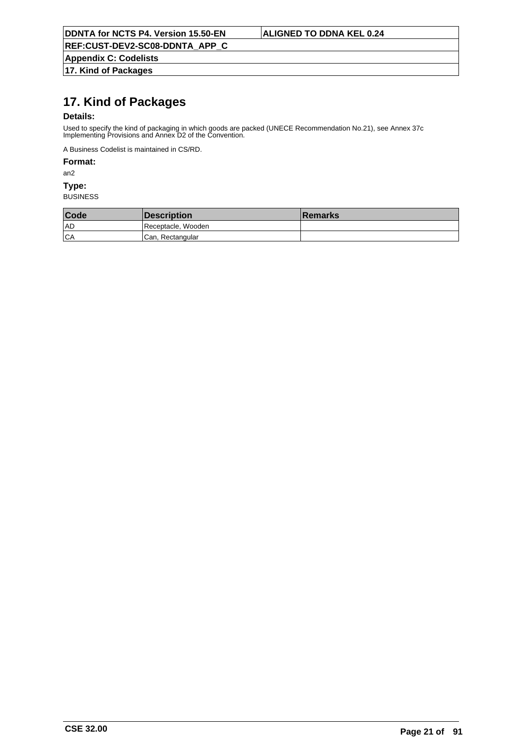**Appendix C: Codelists 17. Kind of Packages**

# **17. Kind of Packages**

### **Details:**

Used to specify the kind of packaging in which goods are packed (UNECE Recommendation No.21), see Annex 37c Implementing Provisions and Annex D2 of the Convention.

A Business Codelist is maintained in CS/RD.

## **Format:**

an2

### **Type:**

| Code | <b>Description</b> | <b>Remarks</b> |
|------|--------------------|----------------|
| 1 AD | Receptacle, Wooden |                |
| CA   | Can, Rectangular   |                |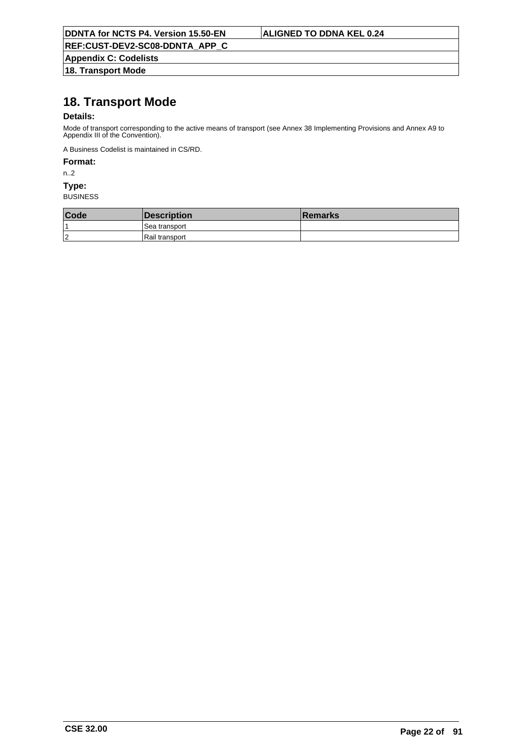**Appendix C: Codelists 18. Transport Mode**

# **18. Transport Mode**

## **Details:**

Mode of transport corresponding to the active means of transport (see Annex 38 Implementing Provisions and Annex A9 to Appendix III of the Convention).

A Business Codelist is maintained in CS/RD.

## **Format:**

n..2

### **Type:**

| Code       | Description      | <b>Remarks</b> |
|------------|------------------|----------------|
|            | l Sea transport  |                |
| $\sqrt{2}$ | l Rail transport |                |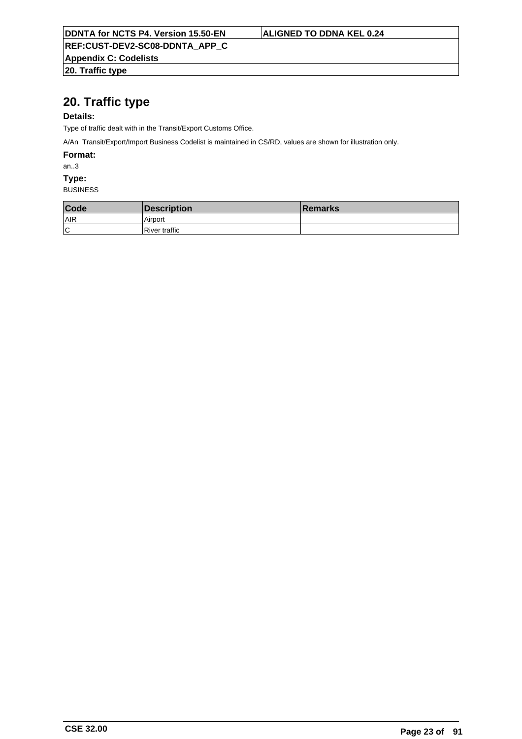**Appendix C: Codelists**

**20. Traffic type**

# **20. Traffic type**

## **Details:**

Type of traffic dealt with in the Transit/Export Customs Office.

A/An Transit/Export/Import Business Codelist is maintained in CS/RD, values are shown for illustration only.

**Format:**

an..3

**Type:**

| Code | Description          | <b>Remarks</b> |
|------|----------------------|----------------|
| AIR  | Airport              |                |
| Ιc   | <b>River traffic</b> |                |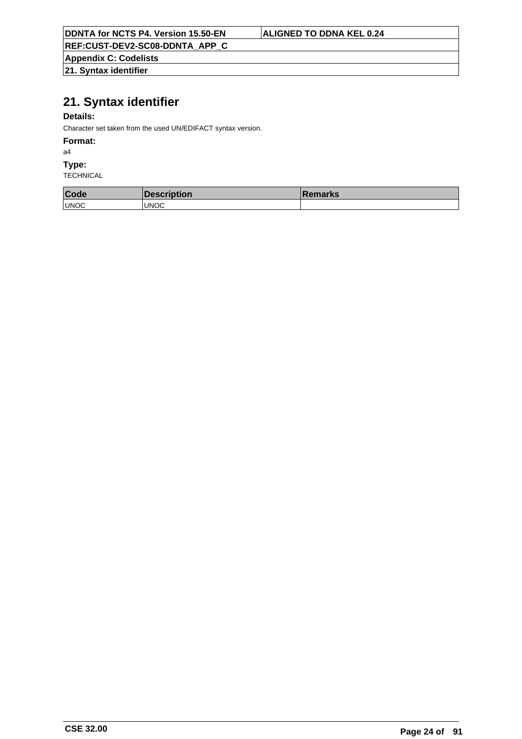| <b>DDNTA for NCTS P4. Version 15.50-EN</b> |
|--------------------------------------------|
|--------------------------------------------|

# **ALIGNED TO DDNA KEL 0.24**

**REF:CUST-DEV2-SC08-DDNTA\_APP\_C**

**Appendix C: Codelists 21. Syntax identifier**

# **21. Syntax identifier**

## **Details:**

Character set taken from the used UN/EDIFACT syntax version.

### **Format:**

a4

## **Type:**

| Code        | Description  | <b>Remarks</b> |
|-------------|--------------|----------------|
| <b>UNOC</b> | <b>IUNOC</b> |                |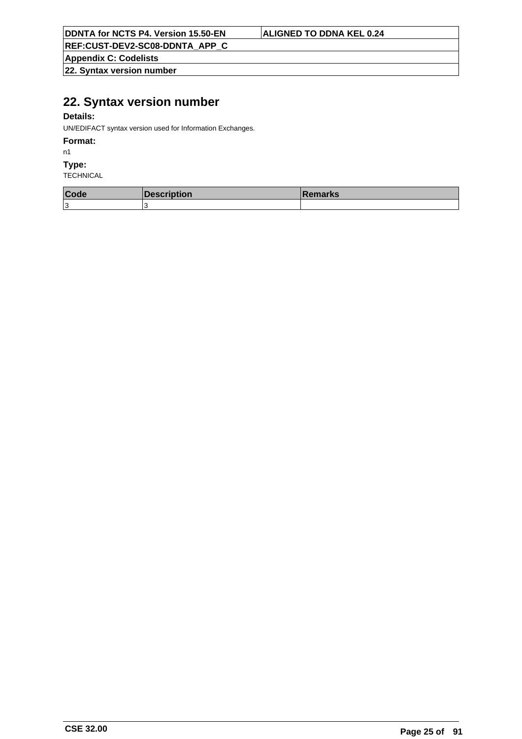**REF:CUST-DEV2-SC08-DDNTA\_APP\_C**

**Appendix C: Codelists**

**22. Syntax version number**

# **22. Syntax version number**

## **Details:**

UN/EDIFACT syntax version used for Information Exchanges.

## **Format:**

n1

### **Type:**

| Code | $D$ aaarintian<br><b>vescription</b> | <b>IRemarks</b> |
|------|--------------------------------------|-----------------|
| 1З   |                                      |                 |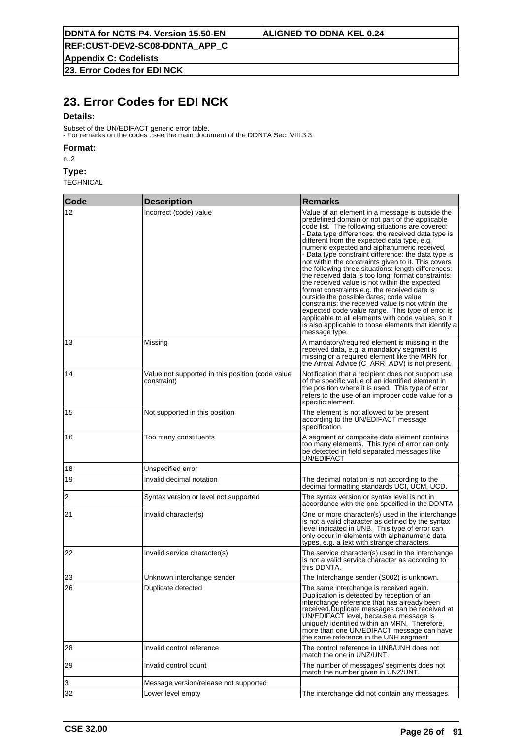**Appendix C: Codelists**

**23. Error Codes for EDI NCK**

# **23. Error Codes for EDI NCK**

### **Details:**

Subset of the UN/EDIFACT generic error table. - For remarks on the codes : see the main document of the DDNTA Sec. VIII.3.3.

### **Format:**

n..2

## **Type:**

| Code | <b>Description</b>                                              | <b>Remarks</b>                                                                                                                                                                                                                                                                                                                                                                                                                                                                                                                                                                                                                                                                                                                                                                                                                                                                                                           |
|------|-----------------------------------------------------------------|--------------------------------------------------------------------------------------------------------------------------------------------------------------------------------------------------------------------------------------------------------------------------------------------------------------------------------------------------------------------------------------------------------------------------------------------------------------------------------------------------------------------------------------------------------------------------------------------------------------------------------------------------------------------------------------------------------------------------------------------------------------------------------------------------------------------------------------------------------------------------------------------------------------------------|
| 12   | Incorrect (code) value                                          | Value of an element in a message is outside the<br>predefined domain or not part of the applicable<br>code list. The following situations are covered:<br>- Data type differences: the received data type is<br>different from the expected data type, e.g.<br>numeric expected and alphanumeric received.<br>- Data type constraint difference: the data type is<br>not within the constraints given to it. This covers<br>the following three situations: length differences:<br>the received data is too long; format constraints:<br>the received value is not within the expected<br>format constraints e.g. the received date is<br>outside the possible dates; code value<br>constraints: the received value is not within the<br>expected code value range. This type of error is<br>applicable to all elements with code values, so it<br>is also applicable to those elements that identify a<br>message type. |
| 13   | Missing                                                         | A mandatory/required element is missing in the<br>received data, e.g. a mandatory segment is<br>missing or a required element like the MRN for<br>the Arrival Advice (C_ARR_ADV) is not present.                                                                                                                                                                                                                                                                                                                                                                                                                                                                                                                                                                                                                                                                                                                         |
| 14   | Value not supported in this position (code value<br>constraint) | Notification that a recipient does not support use<br>of the specific value of an identified element in<br>the position where it is used. This type of error<br>refers to the use of an improper code value for a<br>specific element.                                                                                                                                                                                                                                                                                                                                                                                                                                                                                                                                                                                                                                                                                   |
| 15   | Not supported in this position                                  | The element is not allowed to be present<br>according to the UN/EDIFACT message<br>specification.                                                                                                                                                                                                                                                                                                                                                                                                                                                                                                                                                                                                                                                                                                                                                                                                                        |
| 16   | Too many constituents                                           | A segment or composite data element contains<br>too many elements. This type of error can only<br>be detected in field separated messages like<br>UN/EDIFACT                                                                                                                                                                                                                                                                                                                                                                                                                                                                                                                                                                                                                                                                                                                                                             |
| 18   | Unspecified error                                               |                                                                                                                                                                                                                                                                                                                                                                                                                                                                                                                                                                                                                                                                                                                                                                                                                                                                                                                          |
| 19   | Invalid decimal notation                                        | The decimal notation is not according to the<br>decimal formatting standards UCI, UCM, UCD.                                                                                                                                                                                                                                                                                                                                                                                                                                                                                                                                                                                                                                                                                                                                                                                                                              |
| 2    | Syntax version or level not supported                           | The syntax version or syntax level is not in<br>accordance with the one specified in the DDNTA                                                                                                                                                                                                                                                                                                                                                                                                                                                                                                                                                                                                                                                                                                                                                                                                                           |
| 21   | Invalid character(s)                                            | One or more character(s) used in the interchange<br>is not a valid character as defined by the syntax<br>level indicated in UNB. This type of error can<br>only occur in elements with alphanumeric data<br>types, e.g. a text with strange characters.                                                                                                                                                                                                                                                                                                                                                                                                                                                                                                                                                                                                                                                                  |
| 22   | Invalid service character(s)                                    | The service character(s) used in the interchange<br>is not a valid service character as according to<br>this DDNTA.                                                                                                                                                                                                                                                                                                                                                                                                                                                                                                                                                                                                                                                                                                                                                                                                      |
| 23   | Unknown interchange sender                                      | The Interchange sender (S002) is unknown.                                                                                                                                                                                                                                                                                                                                                                                                                                                                                                                                                                                                                                                                                                                                                                                                                                                                                |
| 26   | Duplicate detected                                              | The same interchange is received again.<br>Duplication is detected by reception of an<br>interchange reference that has already been<br>received.Duplicate messages can be received at<br>UN/EDIFACT level, because a message is<br>uniquely identified within an MRN. Therefore,<br>more than one UN/EDIFACT message can have<br>the same reference in the UNH segment                                                                                                                                                                                                                                                                                                                                                                                                                                                                                                                                                  |
| 28   | Invalid control reference                                       | The control reference in UNB/UNH does not<br>match the one in UNZ/UNT.                                                                                                                                                                                                                                                                                                                                                                                                                                                                                                                                                                                                                                                                                                                                                                                                                                                   |
| 29   | Invalid control count                                           | The number of messages/ segments does not<br>match the number given in UNZ/UNT.                                                                                                                                                                                                                                                                                                                                                                                                                                                                                                                                                                                                                                                                                                                                                                                                                                          |
| 3    | Message version/release not supported                           |                                                                                                                                                                                                                                                                                                                                                                                                                                                                                                                                                                                                                                                                                                                                                                                                                                                                                                                          |
| 32   | Lower level empty                                               | The interchange did not contain any messages.                                                                                                                                                                                                                                                                                                                                                                                                                                                                                                                                                                                                                                                                                                                                                                                                                                                                            |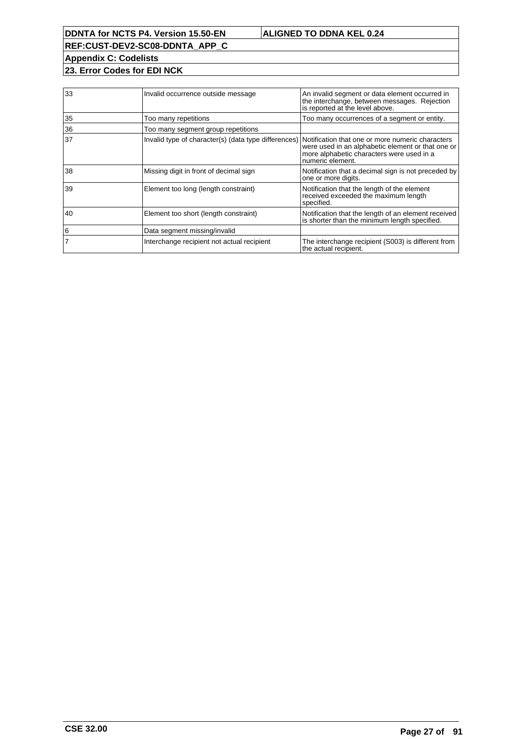**REF:CUST-DEV2-SC08-DDNTA\_APP\_C Appendix C: Codelists**

**23. Error Codes for EDI NCK**

| 33 | Invalid occurrence outside message                                                                    | An invalid segment or data element occurred in<br>the interchange, between messages. Rejection<br>is reported at the level above. |
|----|-------------------------------------------------------------------------------------------------------|-----------------------------------------------------------------------------------------------------------------------------------|
| 35 | Too many repetitions                                                                                  | Too many occurrences of a segment or entity.                                                                                      |
| 36 | Too many segment group repetitions                                                                    |                                                                                                                                   |
| 37 | Invalid type of character(s) (data type differences) Notification that one or more numeric characters | were used in an alphabetic element or that one or<br>more alphabetic characters were used in a<br>numeric element.                |
| 38 | Missing digit in front of decimal sign                                                                | Notification that a decimal sign is not preceded by<br>one or more digits.                                                        |
| 39 | Element too long (length constraint)                                                                  | Notification that the length of the element<br>received exceeded the maximum length<br>specified.                                 |
| 40 | Element too short (length constraint)                                                                 | Notification that the length of an element received<br>is shorter than the minimum length specified.                              |
| 6  | Data segment missing/invalid                                                                          |                                                                                                                                   |
|    | Interchange recipient not actual recipient                                                            | The interchange recipient (S003) is different from<br>the actual recipient.                                                       |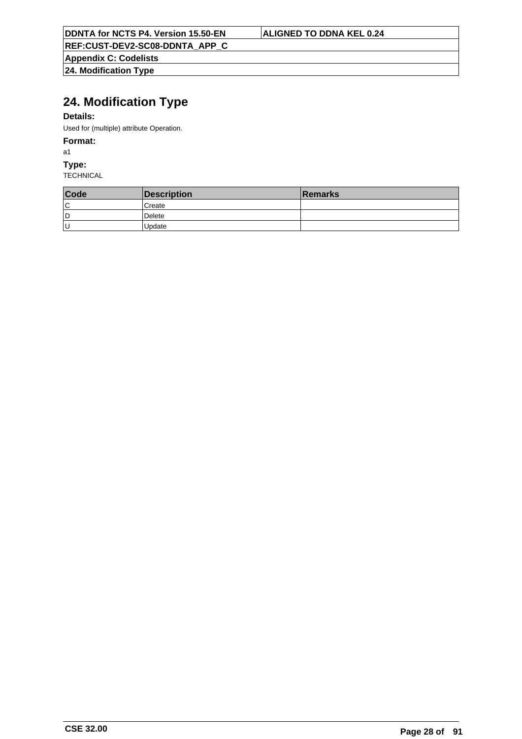**Appendix C: Codelists 24. Modification Type**

# **24. Modification Type**

## **Details:**

Used for (multiple) attribute Operation.

## **Format:**

a1

**Type:**

| Code | Description | Remarks |
|------|-------------|---------|
| ΙC   | l Create    |         |
| D    | Delete      |         |
| ΙU   | Update      |         |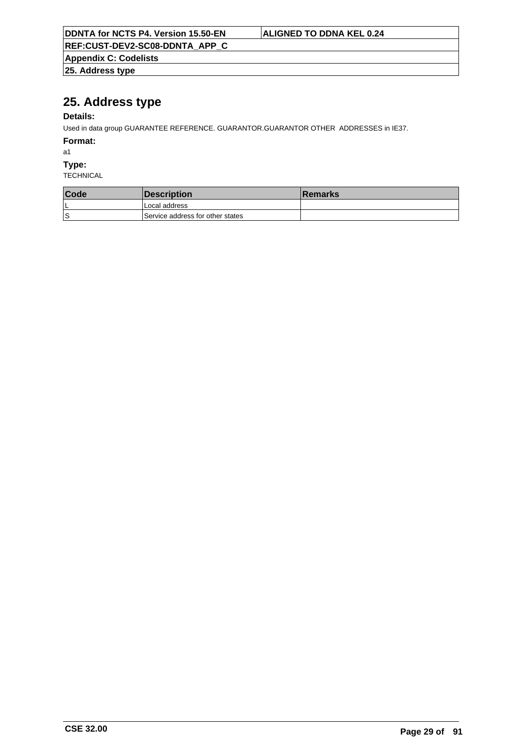| DDNTA for NCTS P4. Version 15.50-EN | ALIGNED TO DDNA KEL 0.24 |
|-------------------------------------|--------------------------|
| REF:CUST-DEV2-SC08-DDNTA APP C      |                          |
| <b>Appendix C: Codelists</b>        |                          |
| $ 25.$ Address type                 |                          |

# **25. Address type**

# **Details:**

Used in data group GUARANTEE REFERENCE. GUARANTOR.GUARANTOR OTHER ADDRESSES in IE37.

**Format:**

a1

**Type:**

| <b>Code</b> | <b>Description</b>               | <b>Remarks</b> |
|-------------|----------------------------------|----------------|
| ь           | Local address                    |                |
| .S          | Service address for other states |                |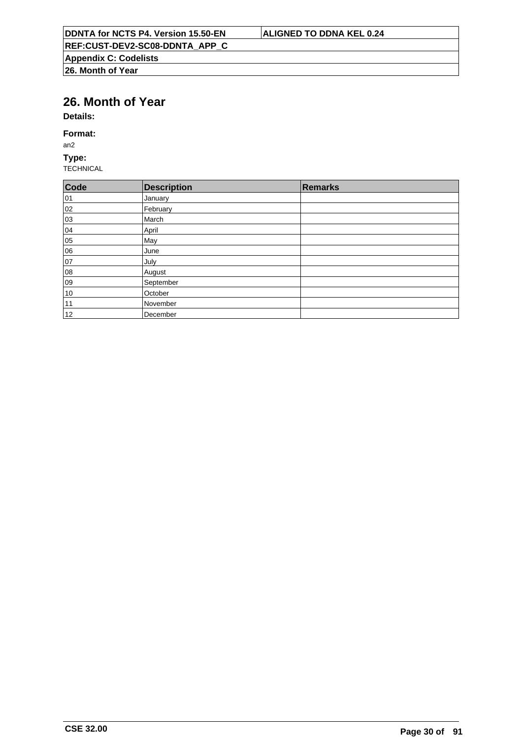# **26. Month of Year**

**Details:**

### **Format:**

an2

## **Type:**

| Code | <b>Description</b> | Remarks |
|------|--------------------|---------|
| 01   | January            |         |
| 02   | February           |         |
| 03   | March              |         |
| 04   | April              |         |
| 05   | May                |         |
| 06   | June               |         |
| 07   | July               |         |
| 08   | August             |         |
| 09   | September          |         |
| 10   | October            |         |
| 11   | November           |         |
| 12   | December           |         |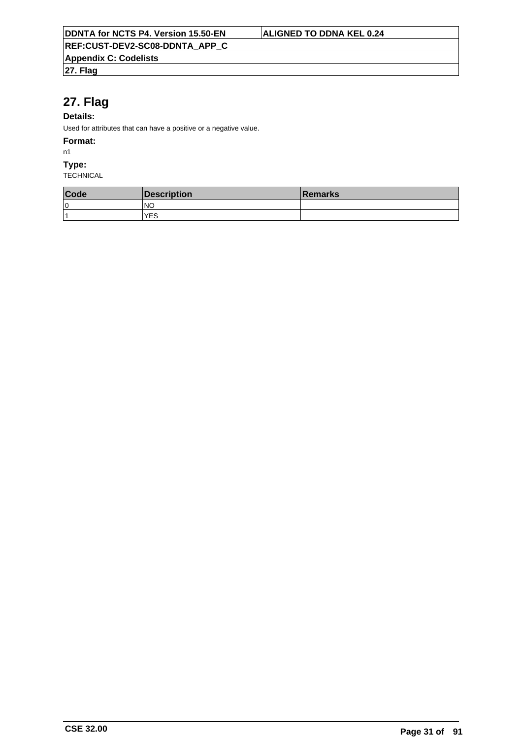**27. Flag**

# **27. Flag**

## **Details:**

Used for attributes that can have a positive or a negative value.

### **Format:**

n1

### **Type:**

| Code                    | Description | <b>Remarks</b> |
|-------------------------|-------------|----------------|
| 10                      | INO         |                |
| $\overline{\mathbf{A}}$ | <b>YES</b>  |                |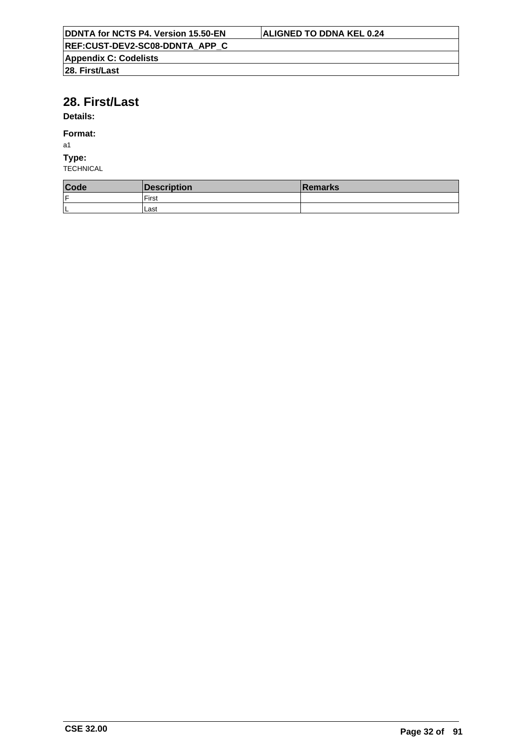# **28. First/Last**

# **Details:**

## **Format:**

a1

## **Type:**

| Code | Description | <b>Remarks</b> |
|------|-------------|----------------|
| ١F   | First       |                |
| L    | Last        |                |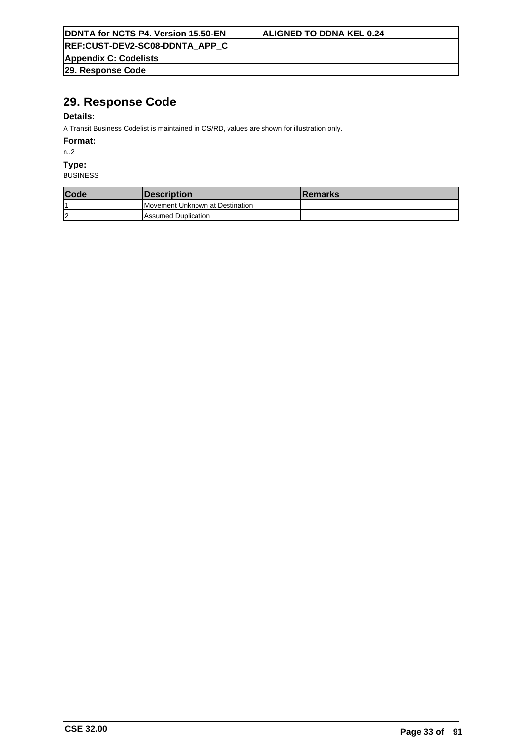|  | <b>DDNTA for NCTS P4. Version 15.50-EN</b> |  |
|--|--------------------------------------------|--|
|  |                                            |  |

## **ALIGNED TO DDNA KEL 0.24**

**REF:CUST-DEV2-SC08-DDNTA\_APP\_C**

**Appendix C: Codelists 29. Response Code**

# **29. Response Code**

## **Details:**

A Transit Business Codelist is maintained in CS/RD, values are shown for illustration only.

**Format:**

n..2

**Type:**

| Code           | <i><b>Description</b></i>       | <b>Remarks</b> |
|----------------|---------------------------------|----------------|
|                | Movement Unknown at Destination |                |
| $\overline{2}$ | <b>Assumed Duplication</b>      |                |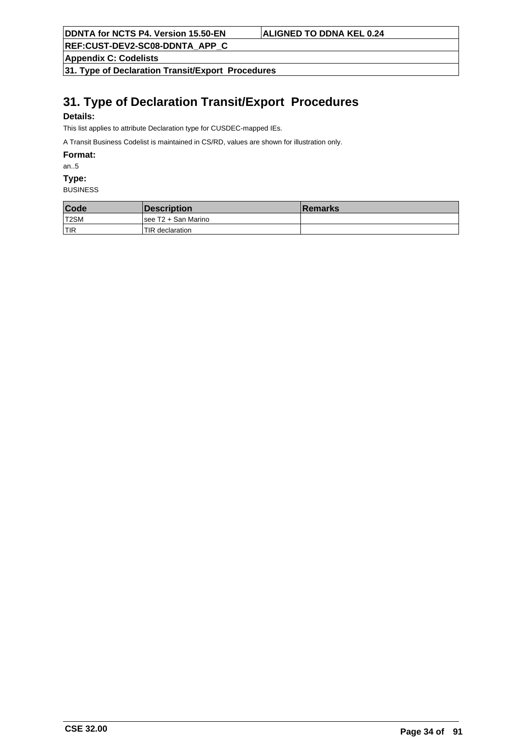**REF:CUST-DEV2-SC08-DDNTA\_APP\_C**

**Appendix C: Codelists**

**31. Type of Declaration Transit/Export Procedures**

# **31. Type of Declaration Transit/Export Procedures**

## **Details:**

This list applies to attribute Declaration type for CUSDEC-mapped IEs.

A Transit Business Codelist is maintained in CS/RD, values are shown for illustration only.

**Format:**

an..5

**Type:**

| Code       | <b>IDescription</b>  | <b>Remarks</b> |
|------------|----------------------|----------------|
| T2SM       | Isee T2 + San Marino |                |
| <b>TIR</b> | TIR declaration      |                |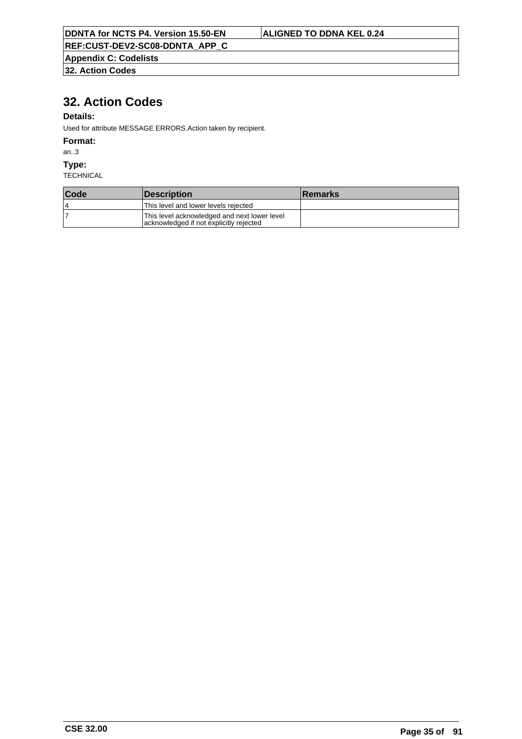**Appendix C: Codelists**

**32. Action Codes**

# **32. Action Codes**

## **Details:**

Used for attribute MESSAGE ERRORS.Action taken by recipient.

### **Format:**

an..3

### **Type:**

| Code | <i><b>IDescription</b></i>                                                              | <b>Remarks</b> |
|------|-----------------------------------------------------------------------------------------|----------------|
| 4    | This level and lower levels rejected                                                    |                |
|      | This level acknowledged and next lower level<br>acknowledged if not explicitly rejected |                |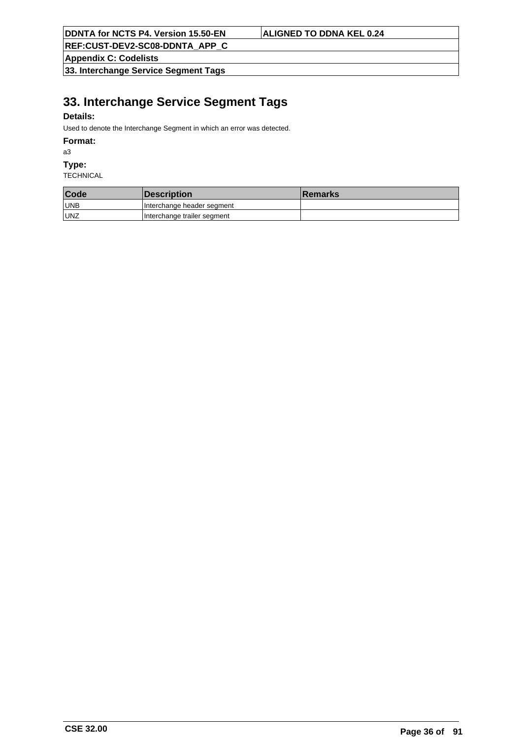**REF:CUST-DEV2-SC08-DDNTA\_APP\_C**

**Appendix C: Codelists**

**33. Interchange Service Segment Tags**

# **33. Interchange Service Segment Tags**

## **Details:**

Used to denote the Interchange Segment in which an error was detected.

### **Format:**

a3

### **Type:**

| Code       | <i><b>Description</b></i>   | <b>Remarks</b> |
|------------|-----------------------------|----------------|
| <b>UNB</b> | Interchange header segment  |                |
| <b>UNZ</b> | Interchange trailer segment |                |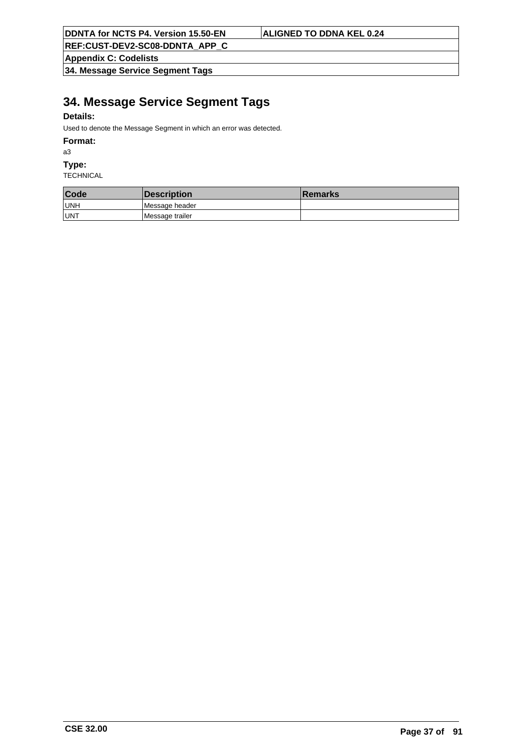**REF:CUST-DEV2-SC08-DDNTA\_APP\_C**

**Appendix C: Codelists**

**34. Message Service Segment Tags**

## **34. Message Service Segment Tags**

### **Details:**

Used to denote the Message Segment in which an error was detected.

#### **Format:**

a3

#### **Type:**

| Code | <b>Description</b> | <b>Remarks</b> |
|------|--------------------|----------------|
| UNH  | Message header     |                |
| UNT  | Message trailer    |                |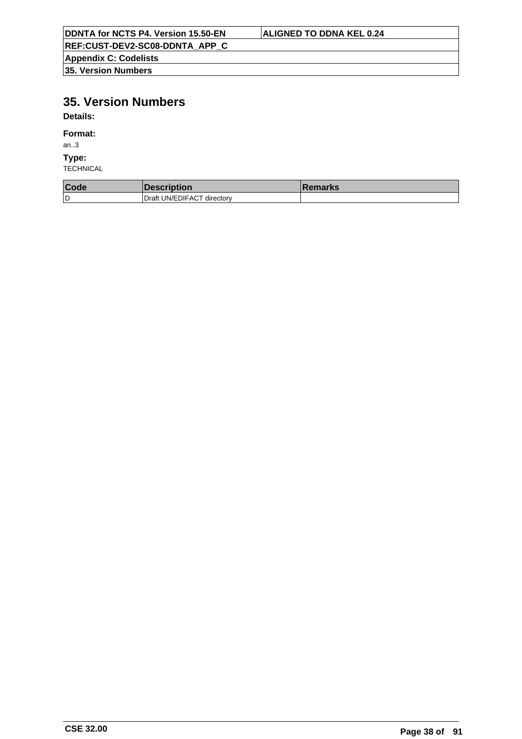| DDNTA for NCTS P4. Version 15.50-EN | ALIGNED TO DDNA KEL 0.24 |
|-------------------------------------|--------------------------|
| REF:CUST-DEV2-SC08-DDNTA APP C      |                          |
| <b>Appendix C: Codelists</b>        |                          |
| <b>135. Version Numbers</b>         |                          |

# **35. Version Numbers**

**Details:**

#### **Format:**

an..3

**Type:**

| Code | <b>Description</b>         | <b>Remarks</b> |
|------|----------------------------|----------------|
| ۱D   | Draft UN/EDIFACT directory |                |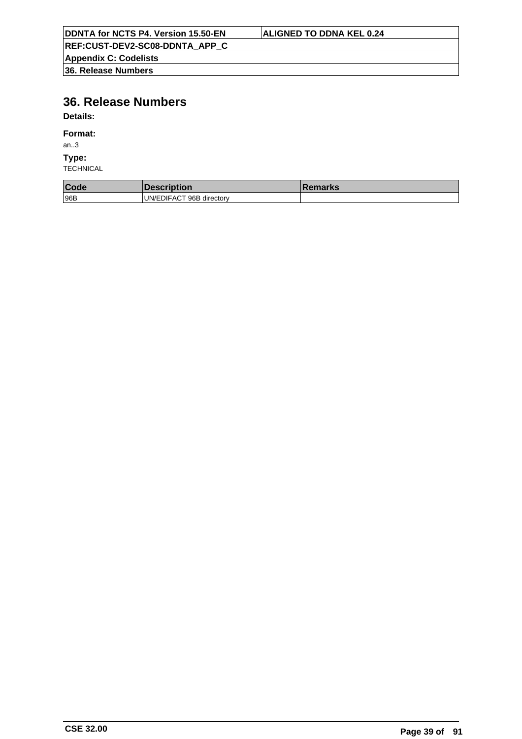| DDNTA for NCTS P4. Version 15.50-EN | ALIGNED TO DDNA KEL 0.24 |  |
|-------------------------------------|--------------------------|--|
| REF:CUST-DEV2-SC08-DDNTA APP C      |                          |  |
| <b>Appendix C: Codelists</b>        |                          |  |
| 36. Release Numbers                 |                          |  |

# **36. Release Numbers**

**Details:**

#### **Format:**

an..3

**Type:**

| Code | <b>DESCRIPTION</b>       | emarks |
|------|--------------------------|--------|
| 96B  | UN/EDIFACT 96B directory |        |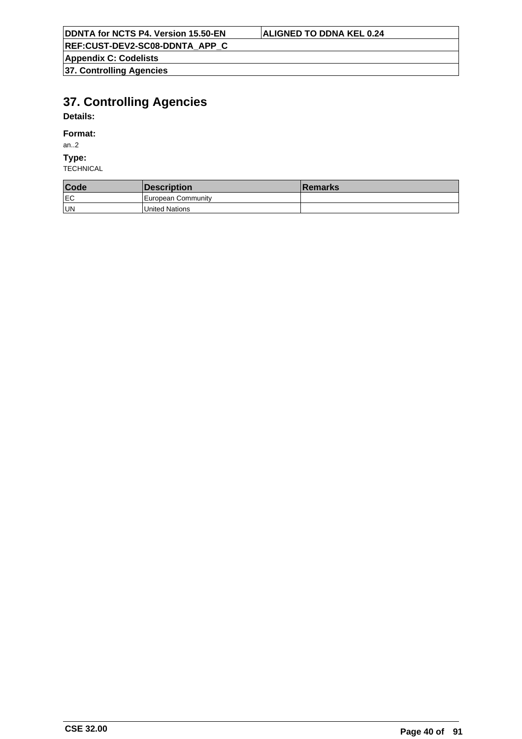**Appendix C: Codelists**

**37. Controlling Agencies**

# **37. Controlling Agencies**

## **Details:**

#### **Format:**

an..2

## **Type:**

| Code | <i><b>Description</b></i> | <b>Remarks</b> |
|------|---------------------------|----------------|
| lEC  | European Community        |                |
| un   | United Nations            |                |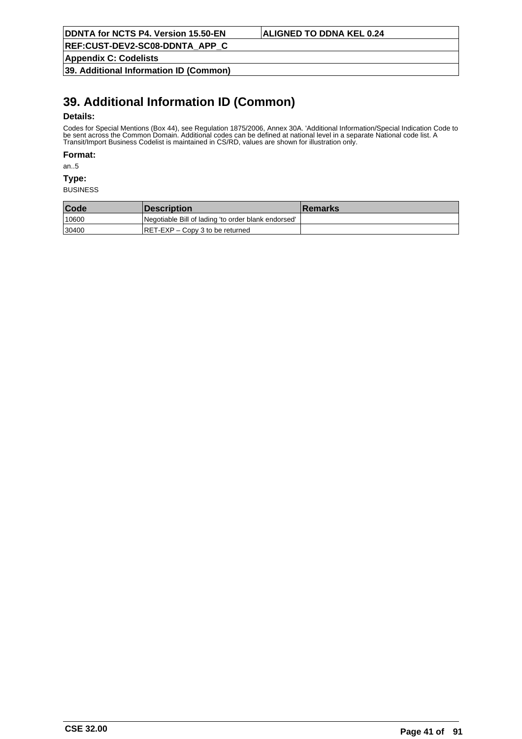**Appendix C: Codelists**

**39. Additional Information ID (Common)**

# **39. Additional Information ID (Common)**

#### **Details:**

Codes for Special Mentions (Box 44), see Regulation 1875/2006, Annex 30A. 'Additional Information/Special Indication Code to be sent across the Common Domain. Additional codes can be defined at national level in a separate National code list. A Transit/Import Business Codelist is maintained in CS/RD, values are shown for illustration only.

**Format:**

an..5

**Type:**

| Code  | <i><b>Description</b></i>                           | <b>Remarks</b> |
|-------|-----------------------------------------------------|----------------|
| 10600 | Negotiable Bill of lading 'to order blank endorsed' |                |
| 30400 | $RET-EXP - Copy 3$ to be returned                   |                |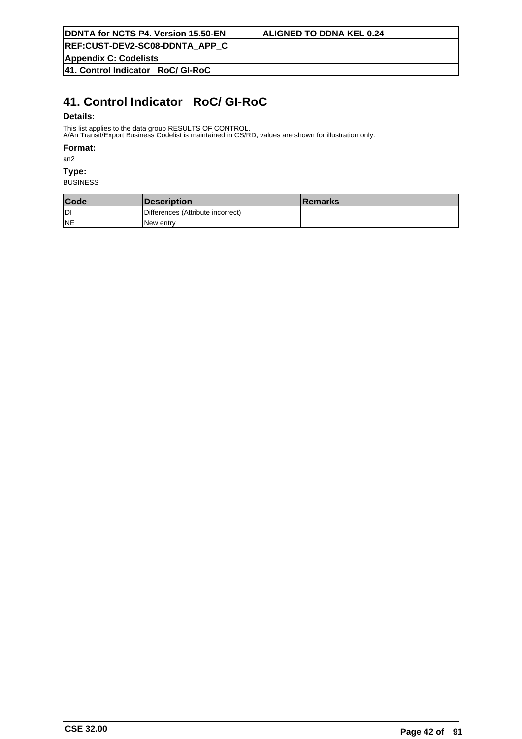**REF:CUST-DEV2-SC08-DDNTA\_APP\_C**

**Appendix C: Codelists**

**41. Control Indicator RoC/ GI-RoC**

# **41. Control Indicator RoC/ GI-RoC**

#### **Details:**

This list applies to the data group RESULTS OF CONTROL.

A/An Transit/Export Business Codelist is maintained in CS/RD, values are shown for illustration only.

### **Format:**

an2

## **Type:**

| Code      | Description                       | <b>Remarks</b> |
|-----------|-----------------------------------|----------------|
| ldi       | Differences (Attribute incorrect) |                |
| <b>NE</b> | INew entrv                        |                |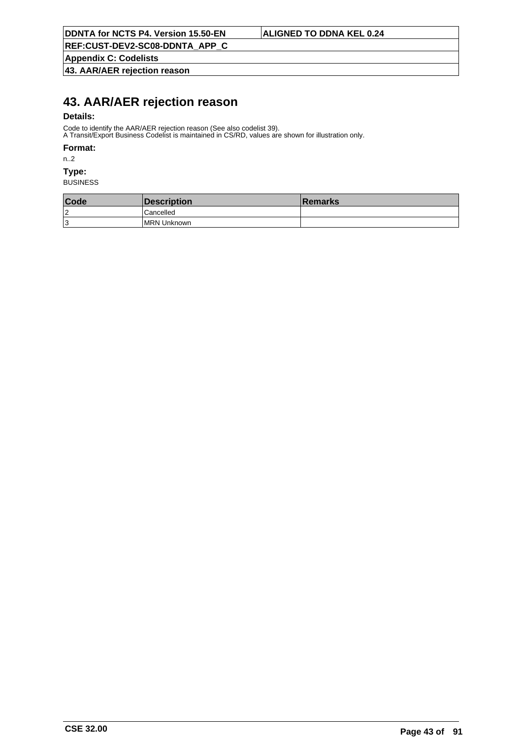**Appendix C: Codelists**

**43. AAR/AER rejection reason**

## **43. AAR/AER rejection reason**

#### **Details:**

Code to identify the AAR/AER rejection reason (See also codelist 39).

A Transit/Export Business Codelist is maintained in CS/RD, values are shown for illustration only.

#### **Format:**

n..2

## **Type:**

| Code | Description         | <b>Remarks</b> |
|------|---------------------|----------------|
| 2ا   | l Cancelled         |                |
| ا 3  | <b>IMRN Unknown</b> |                |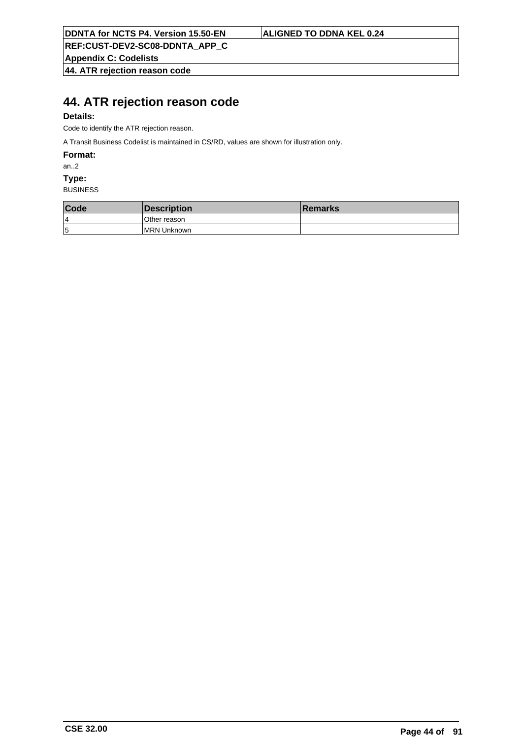**Appendix C: Codelists**

**44. ATR rejection reason code**

## **44. ATR rejection reason code**

### **Details:**

Code to identify the ATR rejection reason.

A Transit Business Codelist is maintained in CS/RD, values are shown for illustration only.

**Format:**

an..2

**Type:**

| Code | <i><b>Description</b></i> | <b>Remarks</b> |
|------|---------------------------|----------------|
| 4    | lOther reason             |                |
| 5    | <b>IMRN Unknown</b>       |                |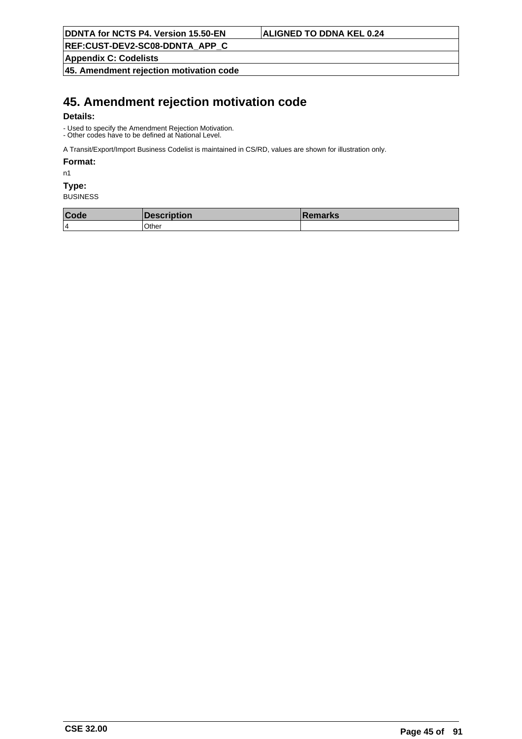**REF:CUST-DEV2-SC08-DDNTA\_APP\_C**

**Appendix C: Codelists**

**45. Amendment rejection motivation code**

## **45. Amendment rejection motivation code**

#### **Details:**

- Used to specify the Amendment Rejection Motivation. - Other codes have to be defined at National Level.

A Transit/Export/Import Business Codelist is maintained in CS/RD, values are shown for illustration only.

#### **Format:**

n1

### **Type:**

| Code | I IJUST<br>ווטוו | ешања. |
|------|------------------|--------|
| 14   | Other            |        |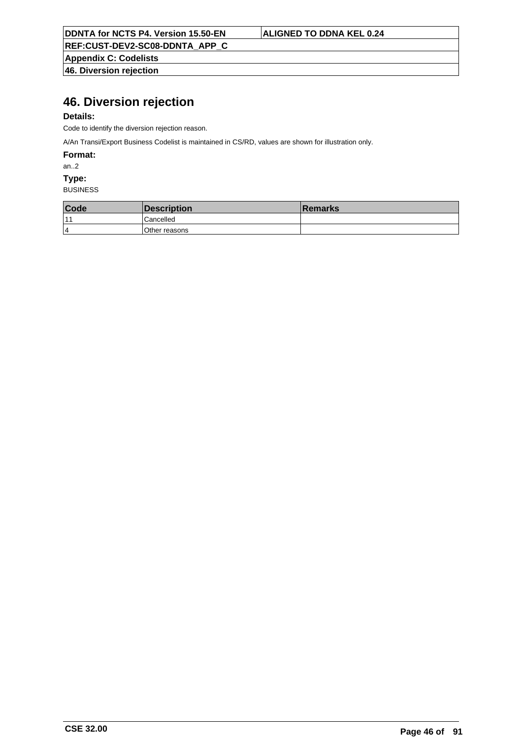**REF:CUST-DEV2-SC08-DDNTA\_APP\_C**

**Appendix C: Codelists 46. Diversion rejection**

# **46. Diversion rejection**

### **Details:**

Code to identify the diversion rejection reason.

A/An Transi/Export Business Codelist is maintained in CS/RD, values are shown for illustration only.

**Format:**

an..2

**Type:**

| Code           | <i><b>Description</b></i> | <b>Remarks</b> |
|----------------|---------------------------|----------------|
| $-11$          | Cancelled                 |                |
| $\overline{4}$ | Other reasons             |                |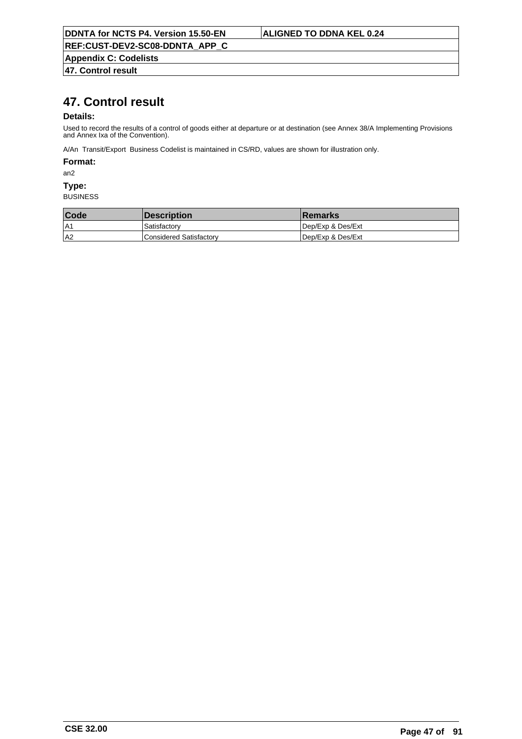**Appendix C: Codelists**

**47. Control result**

## **47. Control result**

#### **Details:**

Used to record the results of a control of goods either at departure or at destination (see Annex 38/A Implementing Provisions and Annex Ixa of the Convention).

A/An Transit/Export Business Codelist is maintained in CS/RD, values are shown for illustration only.

#### **Format:**

an2

#### **Type:**

| <b>Code</b> | <b>Description</b>      | <b>Remarks</b>    |
|-------------|-------------------------|-------------------|
| IA1         | Satisfactory            | Dep/Exp & Des/Ext |
| A2          | Considered Satisfactorv | Dep/Exp & Des/Ext |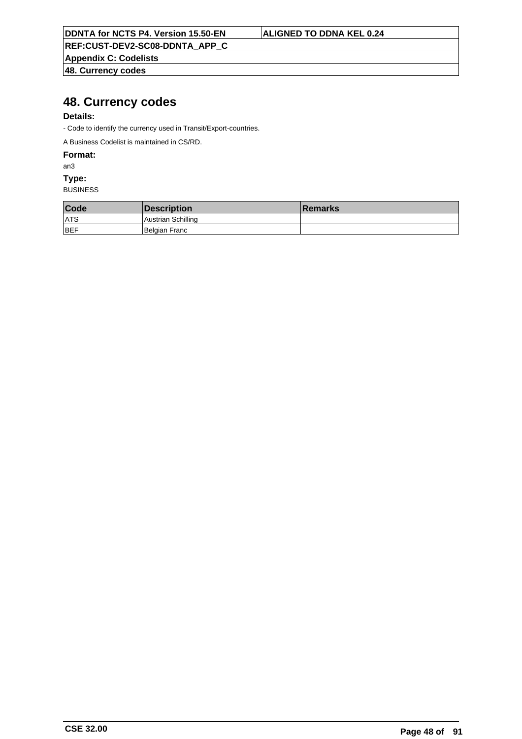**REF:CUST-DEV2-SC08-DDNTA\_APP\_C**

**Appendix C: Codelists 48. Currency codes**

## **48. Currency codes**

### **Details:**

- Code to identify the currency used in Transit/Export-countries.

A Business Codelist is maintained in CS/RD.

**Format:**

an3

**Type:**

| Code       | Description               | <b>Remarks</b> |
|------------|---------------------------|----------------|
| ATS        | <b>Austrian Schilling</b> |                |
| <b>BEF</b> | Belgian Franc             |                |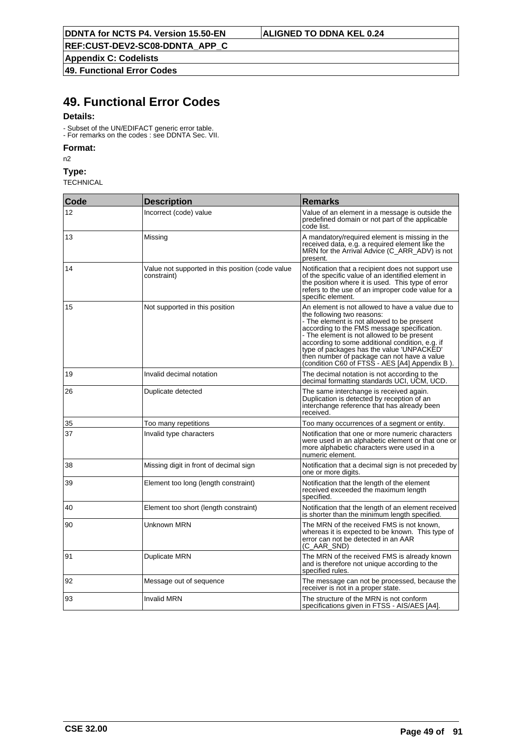**Appendix C: Codelists**

**49. Functional Error Codes**

## **49. Functional Error Codes**

### **Details:**

- Subset of the UN/EDIFACT generic error table.

- For remarks on the codes : see DDNTA Sec. VII.

## **Format:**

n2

**Type:**

| Code | <b>Description</b>                                              | <b>Remarks</b>                                                                                                                                                                                                                                                                                                                                                                                                             |
|------|-----------------------------------------------------------------|----------------------------------------------------------------------------------------------------------------------------------------------------------------------------------------------------------------------------------------------------------------------------------------------------------------------------------------------------------------------------------------------------------------------------|
| 12   | Incorrect (code) value                                          | Value of an element in a message is outside the<br>predefined domain or not part of the applicable<br>code list.                                                                                                                                                                                                                                                                                                           |
| 13   | Missing                                                         | A mandatory/required element is missing in the<br>received data, e.g. a required element like the<br>MRN for the Arrival Advice (C_ARR_ADV) is not<br>present.                                                                                                                                                                                                                                                             |
| 14   | Value not supported in this position (code value<br>constraint) | Notification that a recipient does not support use<br>of the specific value of an identified element in<br>the position where it is used. This type of error<br>refers to the use of an improper code value for a<br>specific element.                                                                                                                                                                                     |
| 15   | Not supported in this position                                  | An element is not allowed to have a value due to<br>the following two reasons:<br>- The element is not allowed to be present<br>according to the FMS message specification.<br>- The element is not allowed to be present<br>according to some additional condition, e.g. if<br>type of packages has the value 'UNPACKED'<br>then number of package can not have a value<br>(condition C60 of FTSS - AES [A4] Appendix B). |
| 19   | Invalid decimal notation                                        | The decimal notation is not according to the<br>decimal formatting standards UCI, UCM, UCD.                                                                                                                                                                                                                                                                                                                                |
| 26   | Duplicate detected                                              | The same interchange is received again.<br>Duplication is detected by reception of an<br>interchange reference that has already been<br>received.                                                                                                                                                                                                                                                                          |
| 35   | Too many repetitions                                            | Too many occurrences of a segment or entity.                                                                                                                                                                                                                                                                                                                                                                               |
| 37   | Invalid type characters                                         | Notification that one or more numeric characters<br>were used in an alphabetic element or that one or<br>more alphabetic characters were used in a<br>numeric element.                                                                                                                                                                                                                                                     |
| 38   | Missing digit in front of decimal sign                          | Notification that a decimal sign is not preceded by<br>one or more digits.                                                                                                                                                                                                                                                                                                                                                 |
| 39   | Element too long (length constraint)                            | Notification that the length of the element<br>received exceeded the maximum length<br>specified.                                                                                                                                                                                                                                                                                                                          |
| 40   | Element too short (length constraint)                           | Notification that the length of an element received<br>is shorter than the minimum length specified.                                                                                                                                                                                                                                                                                                                       |
| 90   | Unknown MRN                                                     | The MRN of the received FMS is not known,<br>whereas it is expected to be known. This type of<br>error can not be detected in an AAR<br>(C_AAR_SND)                                                                                                                                                                                                                                                                        |
| 91   | Duplicate MRN                                                   | The MRN of the received FMS is already known<br>and is therefore not unique according to the<br>specified rules.                                                                                                                                                                                                                                                                                                           |
| 92   | Message out of sequence                                         | The message can not be processed, because the<br>receiver is not in a proper state.                                                                                                                                                                                                                                                                                                                                        |
| 93   | <b>Invalid MRN</b>                                              | The structure of the MRN is not conform<br>specifications given in FTSS - AIS/AES [A4].                                                                                                                                                                                                                                                                                                                                    |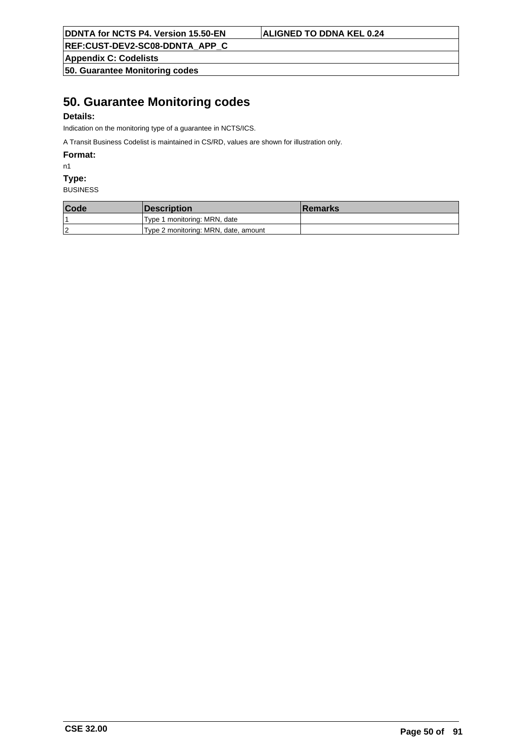**REF:CUST-DEV2-SC08-DDNTA\_APP\_C**

**Appendix C: Codelists**

**50. Guarantee Monitoring codes**

## **50. Guarantee Monitoring codes**

### **Details:**

Indication on the monitoring type of a guarantee in NCTS/ICS.

A Transit Business Codelist is maintained in CS/RD, values are shown for illustration only.

**Format:**

n1

**Type:**

| Code | <i><b>Description</b></i>            | <b>Remarks</b> |
|------|--------------------------------------|----------------|
|      | Type 1 monitoring: MRN, date         |                |
| 2    | Type 2 monitoring: MRN, date, amount |                |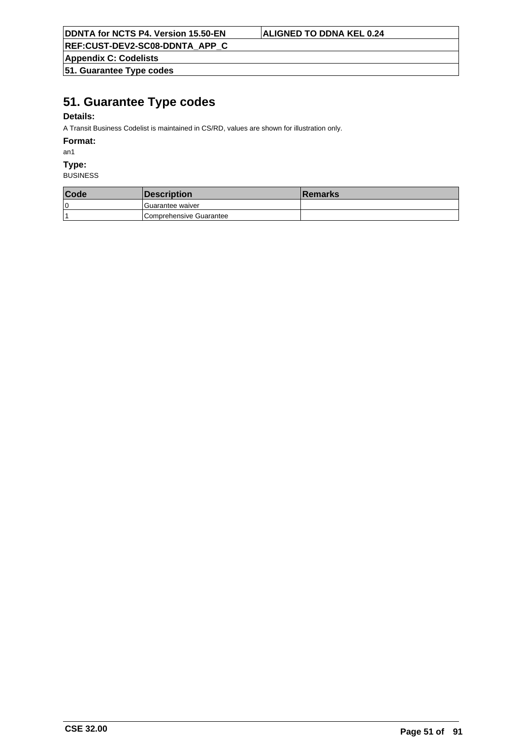**REF:CUST-DEV2-SC08-DDNTA\_APP\_C**

**Appendix C: Codelists**

**51. Guarantee Type codes**

## **51. Guarantee Type codes**

### **Details:**

A Transit Business Codelist is maintained in CS/RD, values are shown for illustration only.

#### **Format:**

an1

#### **Type:**

| Code | <b>Description</b>      | <b>Remarks</b> |
|------|-------------------------|----------------|
| 10   | l Guarantee waiver      |                |
|      | Comprehensive Guarantee |                |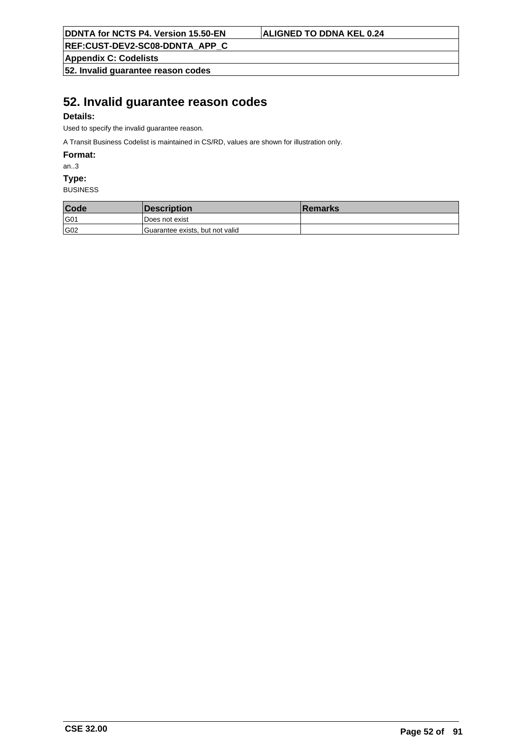**Appendix C: Codelists**

**52. Invalid guarantee reason codes**

## **52. Invalid guarantee reason codes**

### **Details:**

Used to specify the invalid guarantee reason.

A Transit Business Codelist is maintained in CS/RD, values are shown for illustration only.

**Format:**

an..3

**Type:**

| Code | Description                     | <b>Remarks</b> |
|------|---------------------------------|----------------|
| G01  | l Does not exist                |                |
| G02  | Guarantee exists, but not valid |                |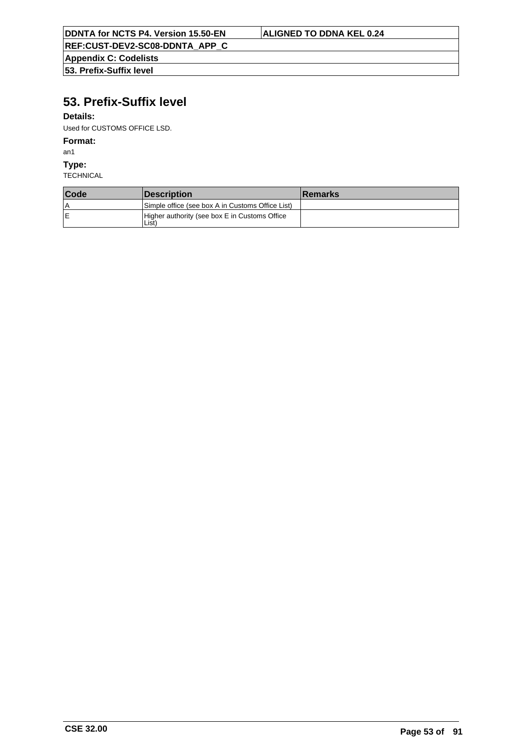**Appendix C: Codelists 53. Prefix-Suffix level**

# **53. Prefix-Suffix level**

#### **Details:**

Used for CUSTOMS OFFICE LSD.

### **Format:**

an1

**Type:**

| Code | <i><b>Description</b></i>                                          | <b>Remarks</b> |
|------|--------------------------------------------------------------------|----------------|
| ١A   | Simple office (see box A in Customs Office List)                   |                |
| ΙE   | Higher authority (see box E in Customs Office<br>List <sup>'</sup> |                |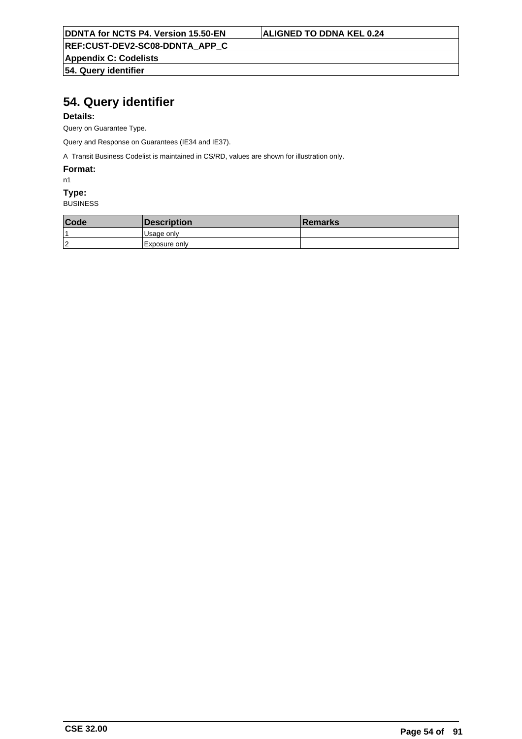**REF:CUST-DEV2-SC08-DDNTA\_APP\_C**

**Appendix C: Codelists 54. Query identifier**

# **54. Query identifier**

#### **Details:**

Query on Guarantee Type.

Query and Response on Guarantees (IE34 and IE37).

A Transit Business Codelist is maintained in CS/RD, values are shown for illustration only.

#### **Format:**

n1

## **Type:**

| Code | <i><b>Description</b></i> | <b>Remarks</b> |
|------|---------------------------|----------------|
|      | <sub>l</sub> Usage only   |                |
| 12   | Exposure only             |                |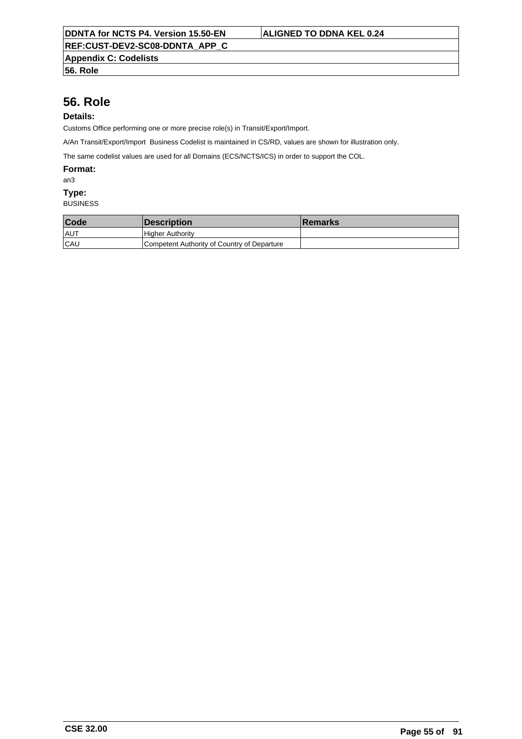**Appendix C: Codelists**

**56. Role**

## **56. Role**

## **Details:**

Customs Office performing one or more precise role(s) in Transit/Export/Import.

A/An Transit/Export/Import Business Codelist is maintained in CS/RD, values are shown for illustration only.

The same codelist values are used for all Domains (ECS/NCTS/ICS) in order to support the COL.

#### **Format:**

an3

#### **Type:**

| Code       | <i><b>Description</b></i>                   | ∣Remarks |
|------------|---------------------------------------------|----------|
| ∣AU™       | <b>Higher Authority</b>                     |          |
| <b>CAU</b> | Competent Authority of Country of Departure |          |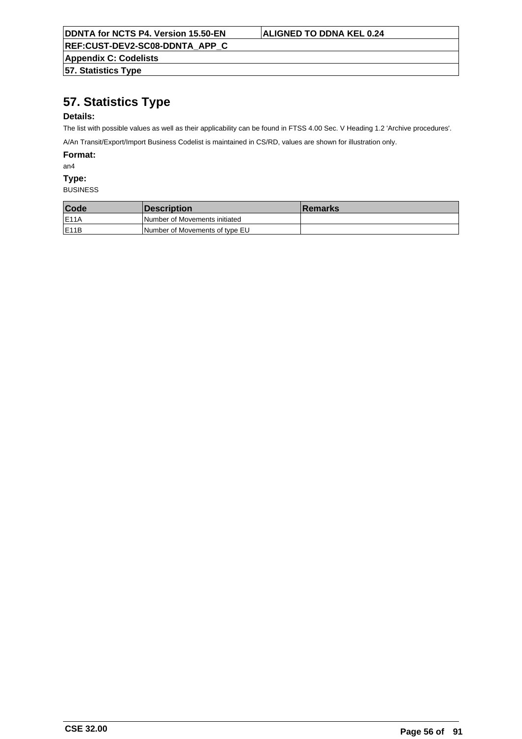**Appendix C: Codelists**

**57. Statistics Type**

# **57. Statistics Type**

### **Details:**

The list with possible values as well as their applicability can be found in FTSS 4.00 Sec. V Heading 1.2 'Archive procedures'.

A/An Transit/Export/Import Business Codelist is maintained in CS/RD, values are shown for illustration only.

**Format:**

an4

**Type:**

| Code               | <b>Description</b>                   | ⊺Remarks |
|--------------------|--------------------------------------|----------|
| <b>IE11A</b>       | <b>Number of Movements initiated</b> |          |
| IE <sub>11</sub> B | Number of Movements of type EU       |          |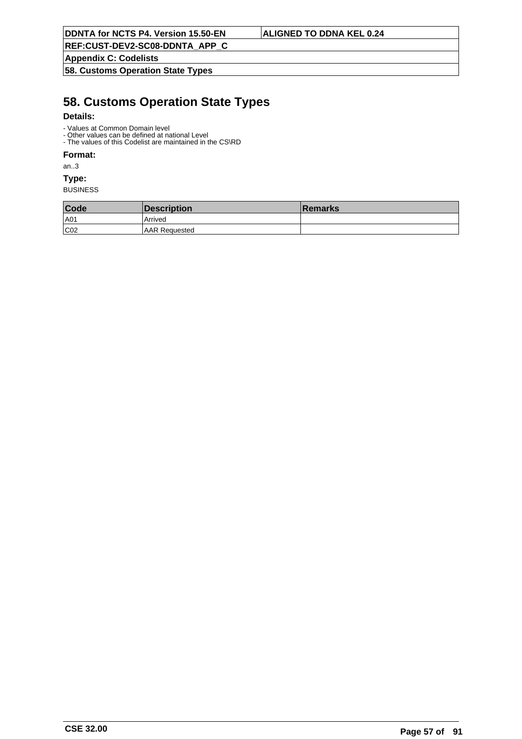**REF:CUST-DEV2-SC08-DDNTA\_APP\_C**

**Appendix C: Codelists**

**58. Customs Operation State Types**

## **58. Customs Operation State Types**

#### **Details:**

- Values at Common Domain level
- Other values can be defined at national Level - The values of this Codelist are maintained in the CS\RD

## **Format:**

an..3

**Type:**

| Code | Description           | <b>Remarks</b> |
|------|-----------------------|----------------|
| A01  | Arrived               |                |
| CO2  | <b>JAAR Requested</b> |                |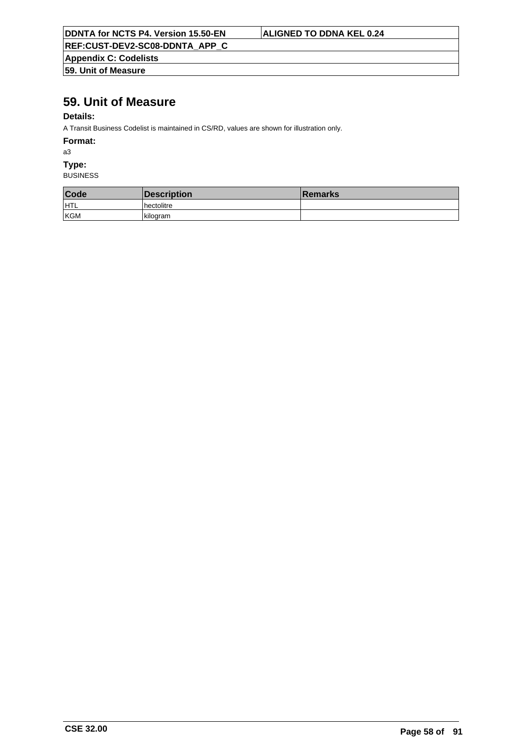**Appendix C: Codelists 59. Unit of Measure**

## **59. Unit of Measure**

#### **Details:**

A Transit Business Codelist is maintained in CS/RD, values are shown for illustration only.

**Format:**

a3

**Type:**

| Code | Description  | <b>Remarks</b> |
|------|--------------|----------------|
| HTL  | l hectolitre |                |
| KGM  | kilogram     |                |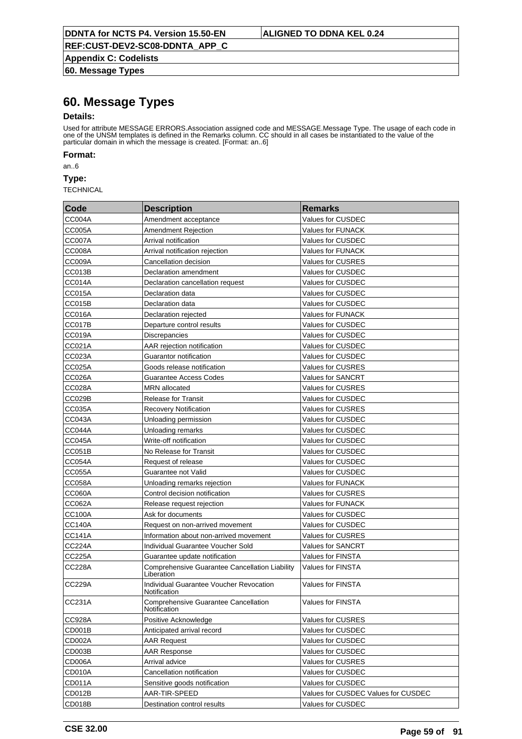**Appendix C: Codelists 60. Message Types**

## **60. Message Types**

#### **Details:**

Used for attribute MESSAGE ERRORS.Association assigned code and MESSAGE.Message Type. The usage of each code in one of the UNSM templates is defined in the Remarks column. CC should in all cases be instantiated to the value of the particular domain in which the message is created. [Format: an..6]

**Format:**

an..6

**Type:**

| Code          | <b>Description</b>                                           | <b>Remarks</b>                      |
|---------------|--------------------------------------------------------------|-------------------------------------|
| <b>CC004A</b> | Amendment acceptance                                         | Values for CUSDEC                   |
| CC005A        | <b>Amendment Rejection</b>                                   | Values for FUNACK                   |
| <b>CC007A</b> | Arrival notification                                         | Values for CUSDEC                   |
| <b>CC008A</b> | Arrival notification rejection                               | Values for FUNACK                   |
| <b>CC009A</b> | Cancellation decision                                        | Values for CUSRES                   |
| <b>CC013B</b> | Declaration amendment                                        | Values for CUSDEC                   |
| <b>CC014A</b> | Declaration cancellation request                             | Values for CUSDEC                   |
| <b>CC015A</b> | Declaration data                                             | Values for CUSDEC                   |
| <b>CC015B</b> | Declaration data                                             | Values for CUSDEC                   |
| <b>CC016A</b> | Declaration rejected                                         | Values for FUNACK                   |
| <b>CC017B</b> | Departure control results                                    | Values for CUSDEC                   |
| <b>CC019A</b> | Discrepancies                                                | Values for CUSDEC                   |
| CC021A        | AAR rejection notification                                   | Values for CUSDEC                   |
| CC023A        | Guarantor notification                                       | Values for CUSDEC                   |
| <b>CC025A</b> | Goods release notification                                   | Values for CUSRES                   |
| <b>CC026A</b> | <b>Guarantee Access Codes</b>                                | Values for SANCRT                   |
| <b>CC028A</b> | MRN allocated                                                | Values for CUSRES                   |
| CC029B        | <b>Release for Transit</b>                                   | Values for CUSDEC                   |
| <b>CC035A</b> | <b>Recovery Notification</b>                                 | Values for CUSRES                   |
| <b>CC043A</b> | Unloading permission                                         | Values for CUSDEC                   |
| <b>CC044A</b> | Unloading remarks                                            | Values for CUSDEC                   |
| <b>CC045A</b> | Write-off notification                                       | Values for CUSDEC                   |
| <b>CC051B</b> | No Release for Transit                                       | Values for CUSDEC                   |
| <b>CC054A</b> | Request of release                                           | Values for CUSDEC                   |
| <b>CC055A</b> | Guarantee not Valid                                          | Values for CUSDEC                   |
| <b>CC058A</b> | Unloading remarks rejection                                  | Values for FUNACK                   |
| <b>CC060A</b> | Control decision notification                                | Values for CUSRES                   |
| CC062A        | Release request rejection                                    | Values for FUNACK                   |
| <b>CC100A</b> | Ask for documents                                            | Values for CUSDEC                   |
| <b>CC140A</b> | Request on non-arrived movement                              | Values for CUSDEC                   |
| <b>CC141A</b> | Information about non-arrived movement                       | Values for CUSRES                   |
| CC224A        | Individual Guarantee Voucher Sold                            | Values for SANCRT                   |
| <b>CC225A</b> | Guarantee update notification                                | <b>Values for FINSTA</b>            |
| <b>CC228A</b> | Comprehensive Guarantee Cancellation Liability<br>Liberation | <b>Values for FINSTA</b>            |
| <b>CC229A</b> | Individual Guarantee Voucher Revocation<br>Notification      | Values for FINSTA                   |
| CC231A        | <b>Comprehensive Guarantee Cancellation</b><br>Notification  | <b>Values for FINSTA</b>            |
| CC928A        | Positive Acknowledge                                         | Values for CUSRES                   |
| CD001B        | Anticipated arrival record                                   | Values for CUSDEC                   |
| CD002A        | <b>AAR Request</b>                                           | Values for CUSDEC                   |
| CD003B        | <b>AAR Response</b>                                          | Values for CUSDEC                   |
| CD006A        | Arrival advice                                               | Values for CUSRES                   |
| CD010A        | Cancellation notification                                    | Values for CUSDEC                   |
| CD011A        | Sensitive goods notification                                 | Values for CUSDEC                   |
| CD012B        | AAR-TIR-SPEED                                                | Values for CUSDEC Values for CUSDEC |
| CD018B        | Destination control results                                  | Values for CUSDEC                   |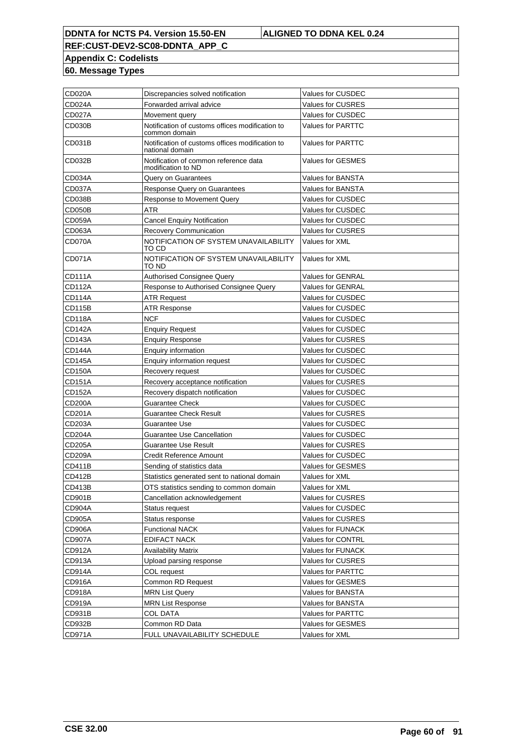**REF:CUST-DEV2-SC08-DDNTA\_APP\_C Appendix C: Codelists**

**60. Message Types**

| CD020A        | Discrepancies solved notification                                  | <b>Values for CUSDEC</b> |
|---------------|--------------------------------------------------------------------|--------------------------|
| CD024A        | Forwarded arrival advice                                           | Values for CUSRES        |
| <b>CD027A</b> | Movement query                                                     | Values for CUSDEC        |
| CD030B        | Notification of customs offices modification to<br>common domain   | Values for PARTTC        |
| CD031B        | Notification of customs offices modification to<br>national domain | <b>Values for PARTTC</b> |
| CD032B        | Notification of common reference data<br>modification to ND        | <b>Values for GESMES</b> |
| CD034A        | Query on Guarantees                                                | Values for BANSTA        |
| <b>CD037A</b> | Response Query on Guarantees                                       | Values for BANSTA        |
| <b>CD038B</b> | Response to Movement Query                                         | Values for CUSDEC        |
| <b>CD050B</b> | <b>ATR</b>                                                         | Values for CUSDEC        |
| <b>CD059A</b> | <b>Cancel Enquiry Notification</b>                                 | Values for CUSDEC        |
| CD063A        | Recovery Communication                                             | <b>Values for CUSRES</b> |
| CD070A        | NOTIFICATION OF SYSTEM UNAVAILABILITY<br>TO CD                     | Values for XML           |
| <b>CD071A</b> | NOTIFICATION OF SYSTEM UNAVAILABILITY<br>TO ND                     | Values for XML           |
| CD111A        | Authorised Consignee Query                                         | Values for GENRAL        |
| <b>CD112A</b> | Response to Authorised Consignee Query                             | <b>Values for GENRAL</b> |
| CD114A        | <b>ATR Request</b>                                                 | Values for CUSDEC        |
| CD115B        | <b>ATR Response</b>                                                | Values for CUSDEC        |
| <b>CD118A</b> | <b>NCF</b>                                                         | Values for CUSDEC        |
| <b>CD142A</b> | <b>Enquiry Request</b>                                             | Values for CUSDEC        |
| <b>CD143A</b> | <b>Enquiry Response</b>                                            | Values for CUSRES        |
| <b>CD144A</b> | <b>Enquiry information</b>                                         | Values for CUSDEC        |
| <b>CD145A</b> | <b>Enquiry information request</b>                                 | Values for CUSDEC        |
| <b>CD150A</b> | Recovery request                                                   | Values for CUSDEC        |
| <b>CD151A</b> | Recovery acceptance notification                                   | Values for CUSRES        |
| <b>CD152A</b> | Recovery dispatch notification                                     | Values for CUSDEC        |
| <b>CD200A</b> | <b>Guarantee Check</b>                                             | Values for CUSDEC        |
| CD201A        | <b>Guarantee Check Result</b>                                      | Values for CUSRES        |
| CD203A        | Guarantee Use                                                      | Values for CUSDEC        |
| <b>CD204A</b> | <b>Guarantee Use Cancellation</b>                                  | Values for CUSDEC        |
| <b>CD205A</b> | <b>Guarantee Use Result</b>                                        | Values for CUSRES        |
| <b>CD209A</b> | <b>Credit Reference Amount</b>                                     | Values for CUSDEC        |
| <b>CD411B</b> | Sending of statistics data                                         | Values for GESMES        |
| CD412B        | Statistics generated sent to national domain                       | Values for XML           |
| <b>CD413B</b> | OTS statistics sending to common domain                            | Values for XML           |
| CD901B        | Cancellation acknowledgement                                       | <b>Values for CUSRES</b> |
| CD904A        | Status request                                                     | Values for CUSDEC        |
| CD905A        | Status response                                                    | Values for CUSRES        |
| CD906A        | <b>Functional NACK</b>                                             | Values for FUNACK        |
| <b>CD907A</b> | <b>EDIFACT NACK</b>                                                | Values for CONTRL        |
| CD912A        | <b>Availability Matrix</b>                                         | Values for FUNACK        |
| CD913A        | Upload parsing response                                            | Values for CUSRES        |
| CD914A        | COL request                                                        | Values for PARTTC        |
| CD916A        | Common RD Request                                                  | Values for GESMES        |
| CD918A        | <b>MRN List Query</b>                                              | Values for BANSTA        |
| CD919A        | <b>MRN List Response</b>                                           | Values for BANSTA        |
| CD931B        | <b>COL DATA</b>                                                    | Values for PARTTC        |
| CD932B        | Common RD Data                                                     | Values for GESMES        |
| CD971A        | FULL UNAVAILABILITY SCHEDULE                                       | Values for XML           |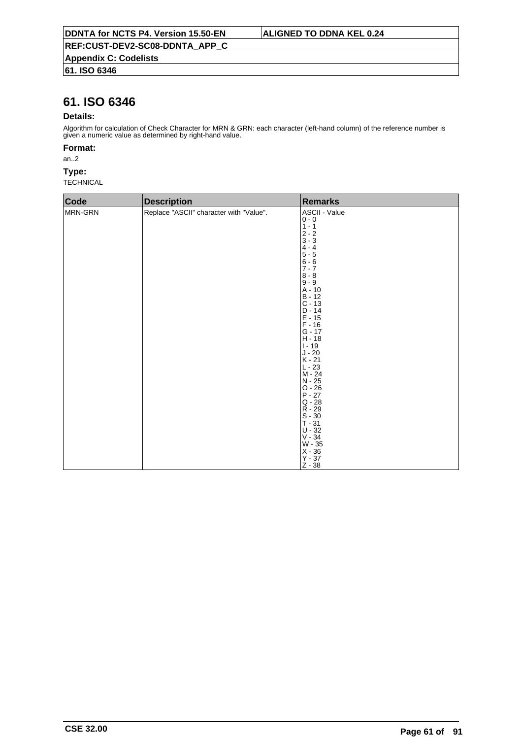### **61. ISO 6346**

## **61. ISO 6346**

#### **Details:**

Algorithm for calculation of Check Character for MRN & GRN: each character (left-hand column) of the reference number is given a numeric value as determined by right-hand value.

#### **Format:**

an..2

#### **Type:**

| Code    | <b>Description</b>                      | <b>Remarks</b>                                                                                                                                                                                                                                                                                                                                                                                                                                |
|---------|-----------------------------------------|-----------------------------------------------------------------------------------------------------------------------------------------------------------------------------------------------------------------------------------------------------------------------------------------------------------------------------------------------------------------------------------------------------------------------------------------------|
| MRN-GRN | Replace "ASCII" character with "Value". | ASCII - Value<br>$0 - 0$<br>$1 - 1$<br>$2 - 2$<br>$3 - 3$<br>$4 - 4$<br>$5 - 5$<br>$6 - 6$<br>$7 - 7$<br>$8 - 8$<br>$9 - 9$<br>A - 10<br>$B - 12$<br>$C - 13$<br>$D - 14$<br>$E - 15$<br>$F - 16$<br>$G - 17$<br>$H - 18$<br>$1 - 19$<br>$J - 20$<br>$K - 21$<br>$L - 23$<br>$M - 24$<br>N - 25<br>$O - 26$<br>$P - 27$<br>$Q - 28$<br>$R - 29$<br>$S - 30$<br>$T - 31$<br>$U - 32$<br>$V - 34$<br>W - 35<br>$X - 36$<br>$Y - 37$<br>$Z - 38$ |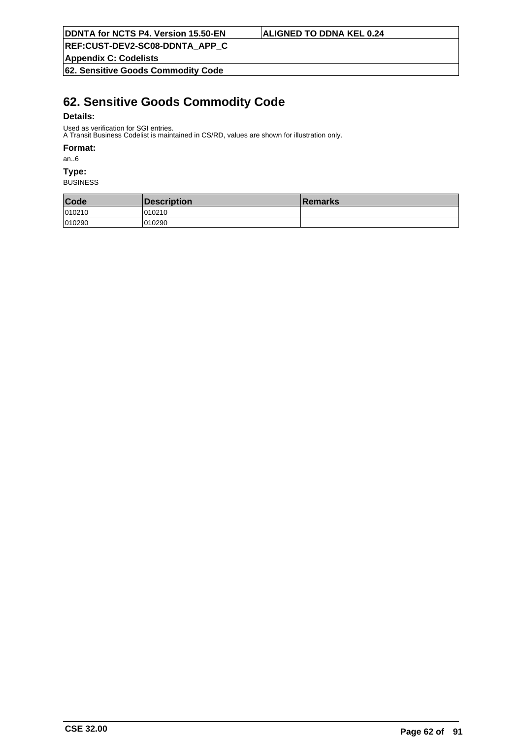**Appendix C: Codelists**

**62. Sensitive Goods Commodity Code**

## **62. Sensitive Goods Commodity Code**

#### **Details:**

Used as verification for SGI entries.

A Transit Business Codelist is maintained in CS/RD, values are shown for illustration only.

#### **Format:**

an..6

### **Type:**

| Code   | Description | <b>Remarks</b> |
|--------|-------------|----------------|
| 010210 | 010210      |                |
| 010290 | 010290      |                |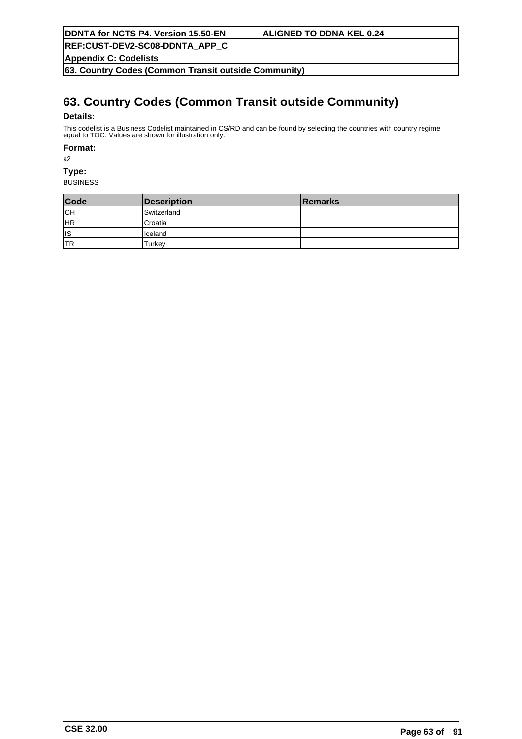**REF:CUST-DEV2-SC08-DDNTA\_APP\_C**

**Appendix C: Codelists**

**63. Country Codes (Common Transit outside Community)**

# **63. Country Codes (Common Transit outside Community)**

#### **Details:**

This codelist is a Business Codelist maintained in CS/RD and can be found by selecting the countries with country regime equal to TOC. Values are shown for illustration only.

#### **Format:**

a2

## **Type:**

| Code      | Description | <b>Remarks</b> |
|-----------|-------------|----------------|
| <b>CH</b> | Switzerland |                |
| HR        | Croatia     |                |
| lıs       | Iceland     |                |
| 'TR       | ⊺urkev      |                |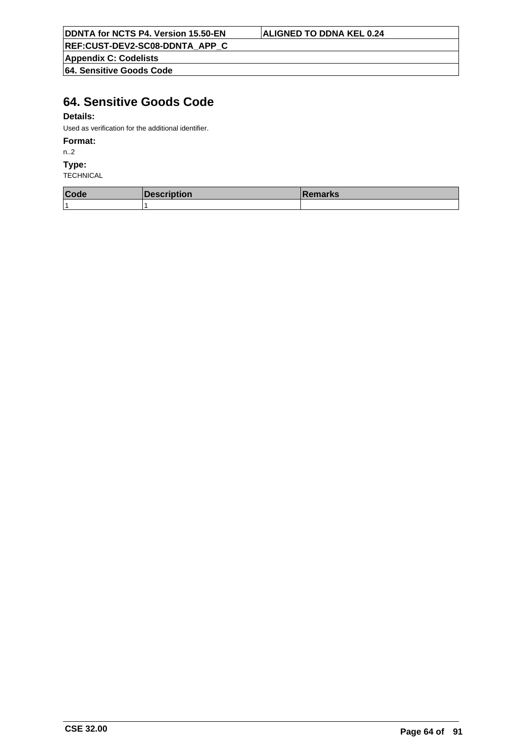**REF:CUST-DEV2-SC08-DDNTA\_APP\_C**

**Appendix C: Codelists**

**64. Sensitive Goods Code**

# **64. Sensitive Goods Code**

### **Details:**

Used as verification for the additional identifier.

### **Format:**

n..2

#### **Type:**

| Code | <b>Description</b> | <b>Remarks</b> |
|------|--------------------|----------------|
|      |                    |                |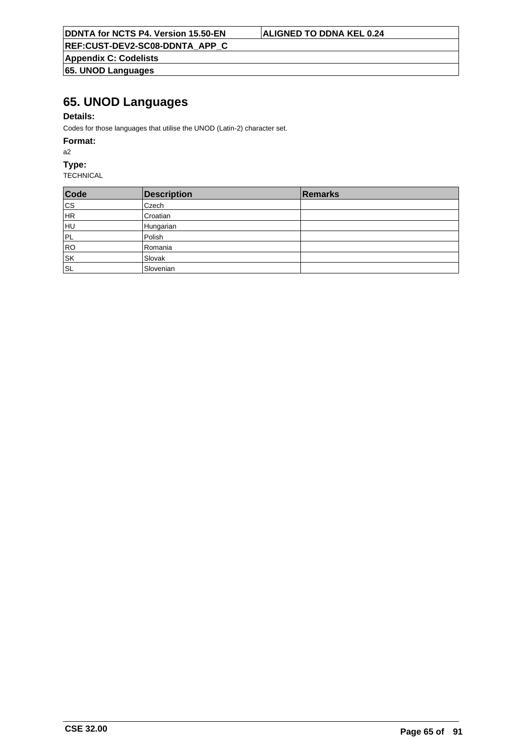**Appendix C: Codelists 65. UNOD Languages**

## **65. UNOD Languages**

### **Details:**

Codes for those languages that utilise the UNOD (Latin-2) character set.

#### **Format:**

a2

### **Type:**

| Code                     | <b>Description</b> | Remarks |
|--------------------------|--------------------|---------|
| cs                       | <b>Czech</b>       |         |
| HR                       | Croatian           |         |
| HU                       | Hungarian          |         |
| PL                       | Polish             |         |
| RO                       | Romania            |         |
| $\overline{\mathsf{sk}}$ | Slovak             |         |
| ∣s∟                      | Slovenian          |         |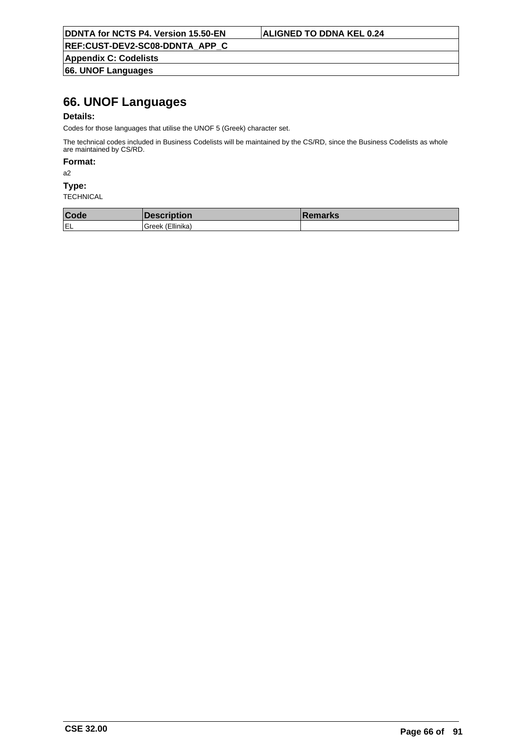**Appendix C: Codelists 66. UNOF Languages**

## **66. UNOF Languages**

#### **Details:**

Codes for those languages that utilise the UNOF 5 (Greek) character set.

The technical codes included in Business Codelists will be maintained by the CS/RD, since the Business Codelists as whole are maintained by CS/RD.

### **Format:**

a2

#### **Type:**

| Code |                   | emarks |
|------|-------------------|--------|
| IEL  | Ellinika<br>ireek |        |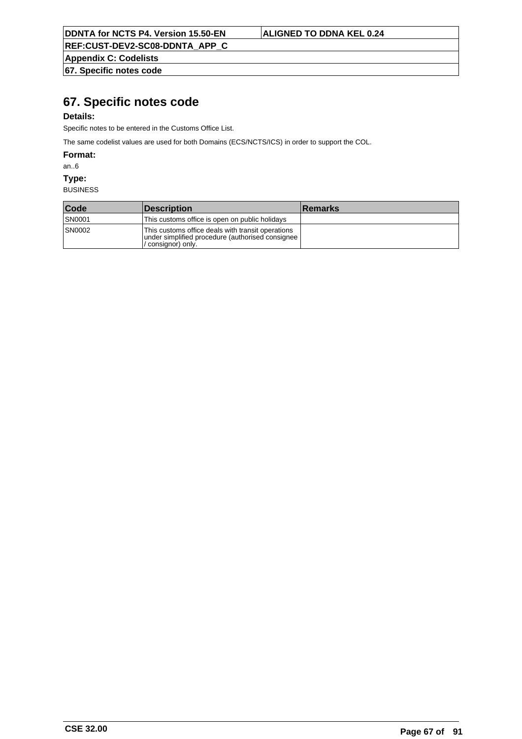**REF:CUST-DEV2-SC08-DDNTA\_APP\_C**

**Appendix C: Codelists 67. Specific notes code**

## **67. Specific notes code**

#### **Details:**

Specific notes to be entered in the Customs Office List.

The same codelist values are used for both Domains (ECS/NCTS/ICS) in order to support the COL.

**Format:**

an..6

**Type:**

| Code          | <b>Description</b>                                                                                                          | <b>Remarks</b> |
|---------------|-----------------------------------------------------------------------------------------------------------------------------|----------------|
| <b>SN0001</b> | This customs office is open on public holidays                                                                              |                |
| <b>SN0002</b> | This customs office deals with transit operations<br>under simplified procedure (authorised consignee)<br>ˈconsianor) onlv. |                |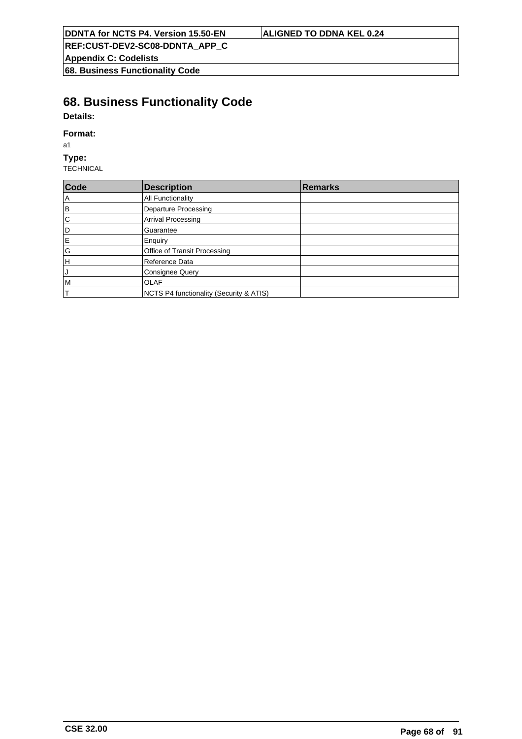| <b>DDNTA for NCTS P4. Version 15.50-EN</b> |
|--------------------------------------------|
|--------------------------------------------|

### **ALIGNED TO DDNA KEL 0.24**

**REF:CUST-DEV2-SC08-DDNTA\_APP\_C**

**Appendix C: Codelists**

**68. Business Functionality Code**

# **68. Business Functionality Code**

## **Details:**

#### **Format:**

a1

#### **Type:**

| Code                  | <b>Description</b>                      | <b>Remarks</b> |
|-----------------------|-----------------------------------------|----------------|
| $\Delta$              | <b>All Functionality</b>                |                |
| B                     | <b>Departure Processing</b>             |                |
| $\overline{\text{c}}$ | <b>Arrival Processing</b>               |                |
| l٥                    | Guarantee                               |                |
| İΕ                    | Enquiry                                 |                |
| G                     | Office of Transit Processing            |                |
| lн                    | Reference Data                          |                |
| IJ                    | <b>Consignee Query</b>                  |                |
| IМ                    | <b>OLAF</b>                             |                |
| IT.                   | NCTS P4 functionality (Security & ATIS) |                |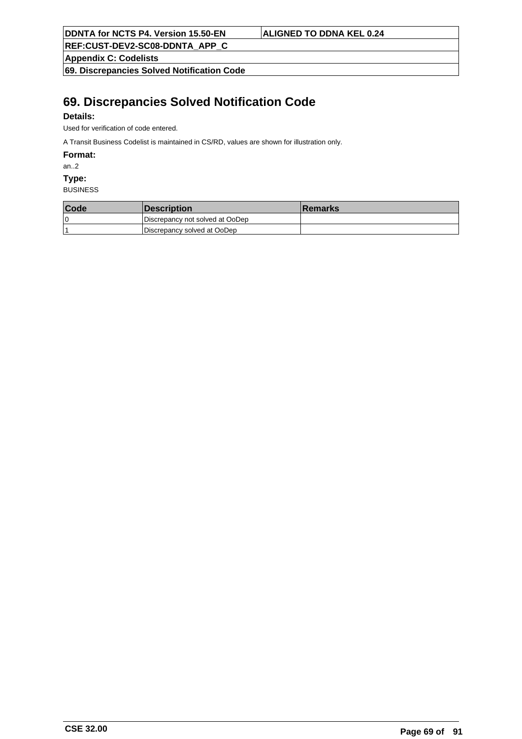**REF:CUST-DEV2-SC08-DDNTA\_APP\_C**

**Appendix C: Codelists**

**69. Discrepancies Solved Notification Code**

## **69. Discrepancies Solved Notification Code**

### **Details:**

Used for verification of code entered.

A Transit Business Codelist is maintained in CS/RD, values are shown for illustration only.

**Format:**

an..2

**Type:**

| Code | <i><b>Description</b></i>       | <b>Remarks</b> |
|------|---------------------------------|----------------|
| 0 ا  | Discrepancy not solved at OoDep |                |
|      | Discrepancy solved at OoDep     |                |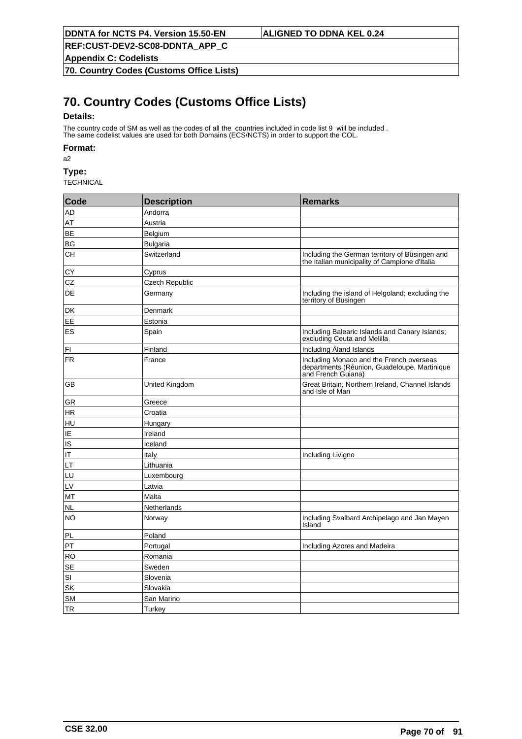**Appendix C: Codelists**

**70. Country Codes (Customs Office Lists)**

# **70. Country Codes (Customs Office Lists)**

#### **Details:**

The country code of SM as well as the codes of all the countries included in code list 9 will be included . The same codelist values are used for both Domains (ECS/NCTS) in order to support the COL.

#### **Format:**

a2

**Type:**

| Code      | <b>Description</b> | <b>Remarks</b>                                                                                                 |
|-----------|--------------------|----------------------------------------------------------------------------------------------------------------|
| AD        | Andorra            |                                                                                                                |
| AT        | Austria            |                                                                                                                |
| BE        | Belgium            |                                                                                                                |
| BG        | <b>Bulgaria</b>    |                                                                                                                |
| <b>CH</b> | Switzerland        | Including the German territory of Büsingen and<br>the Italian municipality of Campione d'Italia                |
| СY        | Cyprus             |                                                                                                                |
| CZ        | Czech Republic     |                                                                                                                |
| DE        | Germany            | Including the island of Helgoland; excluding the<br>territory of Büsingen                                      |
| DK        | Denmark            |                                                                                                                |
| <b>EE</b> | Estonia            |                                                                                                                |
| ES        | Spain              | Including Balearic Islands and Canary Islands;<br>excluding Ceuta and Melilla                                  |
| FI        | Finland            | Including Åland Islands                                                                                        |
| <b>FR</b> | France             | Including Monaco and the French overseas<br>departments (Réunion, Guadeloupe, Martinique<br>and French Guiana) |
| GB        | United Kingdom     | Great Britain, Northern Ireland, Channel Islands<br>and Isle of Man                                            |
| GR        | Greece             |                                                                                                                |
| HR        | Croatia            |                                                                                                                |
| HU        | Hungary            |                                                                                                                |
| IE        | Ireland            |                                                                                                                |
| IS        | Iceland            |                                                                                                                |
| IT        | Italy              | Including Livigno                                                                                              |
| LT        | Lithuania          |                                                                                                                |
| LU        | Luxembourg         |                                                                                                                |
| LV        | Latvia             |                                                                                                                |
| MT        | Malta              |                                                                                                                |
| <b>NL</b> | Netherlands        |                                                                                                                |
| <b>NO</b> | Norway             | Including Svalbard Archipelago and Jan Mayen<br>Island                                                         |
| PL        | Poland             |                                                                                                                |
| PT        | Portugal           | Including Azores and Madeira                                                                                   |
| <b>RO</b> | Romania            |                                                                                                                |
| <b>SE</b> | Sweden             |                                                                                                                |
| SI        | Slovenia           |                                                                                                                |
| SK        | Slovakia           |                                                                                                                |
| <b>SM</b> | San Marino         |                                                                                                                |
| <b>TR</b> | Turkey             |                                                                                                                |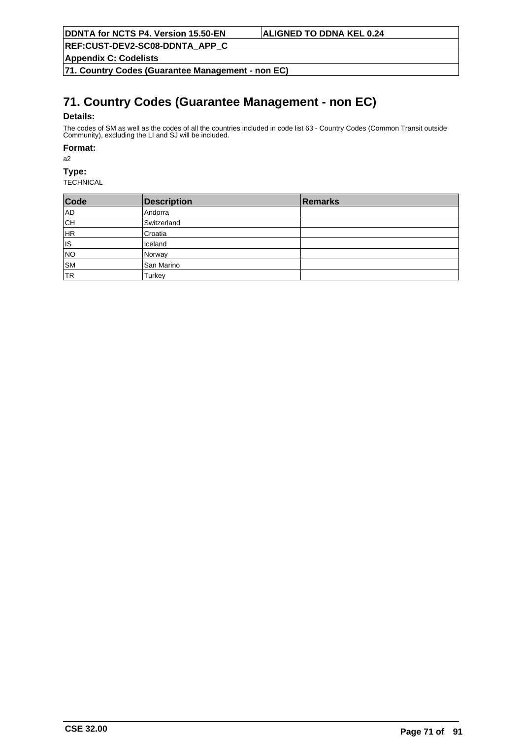**Appendix C: Codelists**

**71. Country Codes (Guarantee Management - non EC)**

# **71. Country Codes (Guarantee Management - non EC)**

#### **Details:**

The codes of SM as well as the codes of all the countries included in code list 63 - Country Codes (Common Transit outside Community), excluding the LI and SJ will be included.

#### **Format:**

a2

## **Type:**

| Code      | <b>Description</b> | Remarks |
|-----------|--------------------|---------|
| AD        | Andorra            |         |
| ∣сн       | Switzerland        |         |
| HR        | Croatia            |         |
| ∣ıs       | Iceland            |         |
| NO        | Norway             |         |
| <b>SM</b> | San Marino         |         |
| <b>TR</b> | Turkey             |         |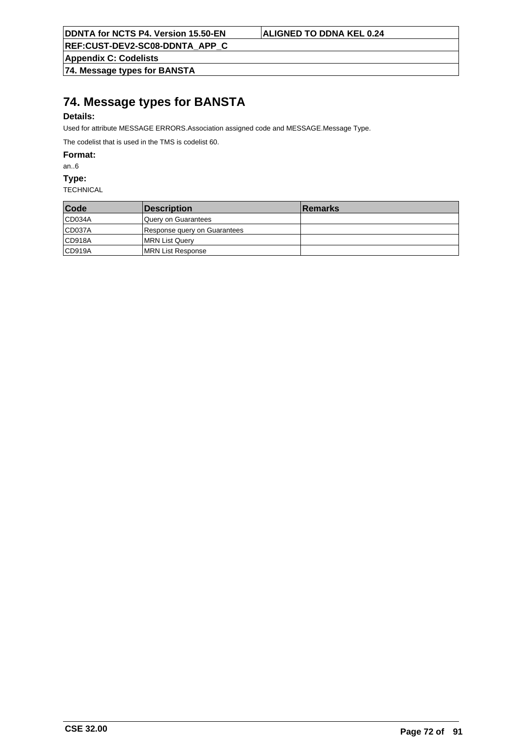**Appendix C: Codelists**

**74. Message types for BANSTA**

## **74. Message types for BANSTA**

### **Details:**

Used for attribute MESSAGE ERRORS.Association assigned code and MESSAGE.Message Type.

The codelist that is used in the TMS is codelist 60.

**Format:**

an..6

**Type:**

| Code   | <b>Description</b>           | <b>Remarks</b> |
|--------|------------------------------|----------------|
| CD034A | lQuerv on Guarantees         |                |
| CD037A | Response query on Guarantees |                |
| CD918A | MRN List Query               |                |
| CD919A | <b>IMRN List Response</b>    |                |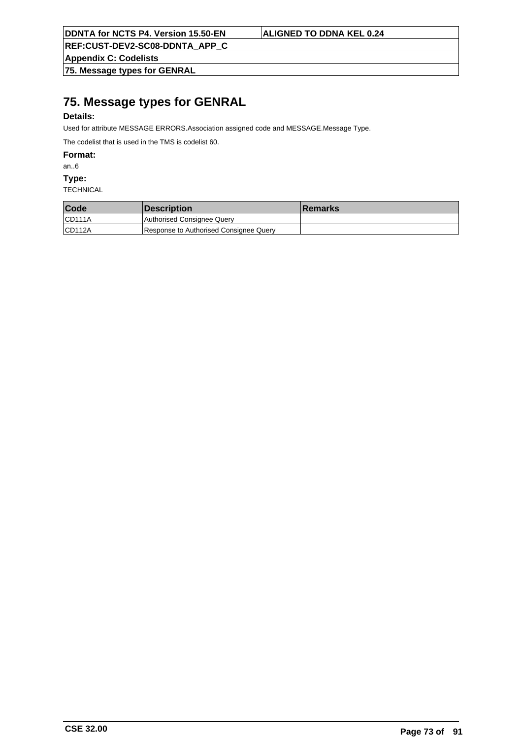**Appendix C: Codelists**

**75. Message types for GENRAL**

# **75. Message types for GENRAL**

### **Details:**

Used for attribute MESSAGE ERRORS.Association assigned code and MESSAGE.Message Type.

The codelist that is used in the TMS is codelist 60.

**Format:**

an..6

**Type:**

| Code   | <i><b>Description</b></i>              | <b>Remarks</b> |
|--------|----------------------------------------|----------------|
| CD111A | Authorised Consignee Query             |                |
| CD112A | Response to Authorised Consignee Query |                |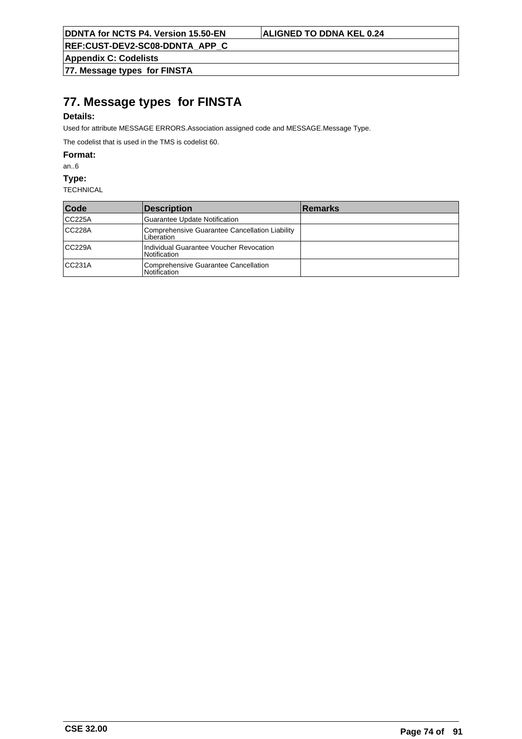**REF:CUST-DEV2-SC08-DDNTA\_APP\_C**

**Appendix C: Codelists**

**77. Message types for FINSTA**

# **77. Message types for FINSTA**

## **Details:**

Used for attribute MESSAGE ERRORS.Association assigned code and MESSAGE.Message Type.

The codelist that is used in the TMS is codelist 60.

**Format:**

an..6

**Type:**

| Code   | Description                                                    | <b>Remarks</b> |
|--------|----------------------------------------------------------------|----------------|
| CC225A | Guarantee Update Notification                                  |                |
| CC228A | Comprehensive Guarantee Cancellation Liability<br>Liberation   |                |
| CC229A | Individual Guarantee Voucher Revocation<br><b>Notification</b> |                |
| CC231A | Comprehensive Guarantee Cancellation<br>l Notification         |                |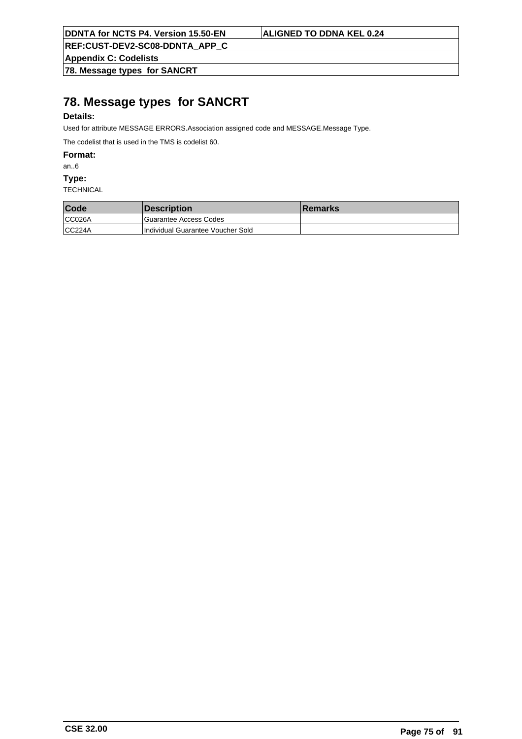**Appendix C: Codelists**

**78. Message types for SANCRT**

# **78. Message types for SANCRT**

## **Details:**

Used for attribute MESSAGE ERRORS.Association assigned code and MESSAGE.Message Type.

The codelist that is used in the TMS is codelist 60.

**Format:**

an..6

**Type:**

| Code   | <b>Description</b>                | <b>Remarks</b> |
|--------|-----------------------------------|----------------|
| CC026A | Guarantee Access Codes            |                |
| CC224A | Individual Guarantee Voucher Sold |                |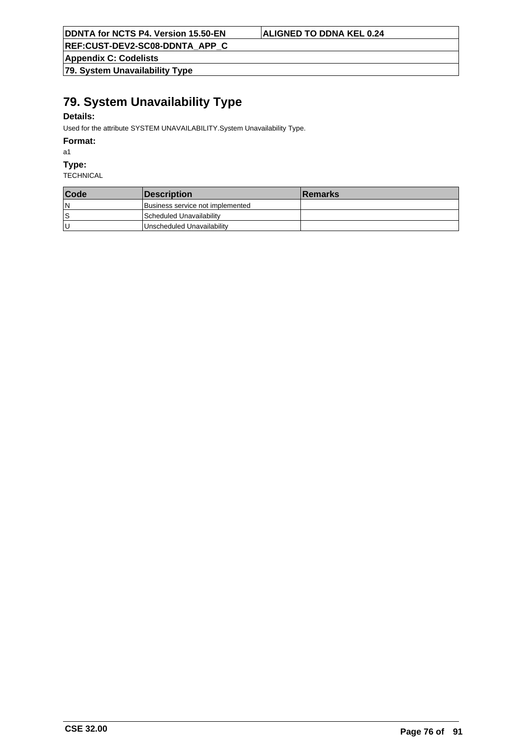**Appendix C: Codelists**

**79. System Unavailability Type**

# **79. System Unavailability Type**

## **Details:**

Used for the attribute SYSTEM UNAVAILABILITY.System Unavailability Type.

**Format:**

a1

**Type:**

| Code | Description                      | <b>IRemarks</b> |
|------|----------------------------------|-----------------|
| ١N   | Business service not implemented |                 |
| ١s   | Scheduled Unavailability         |                 |
| ΙU   | Unscheduled Unavailability       |                 |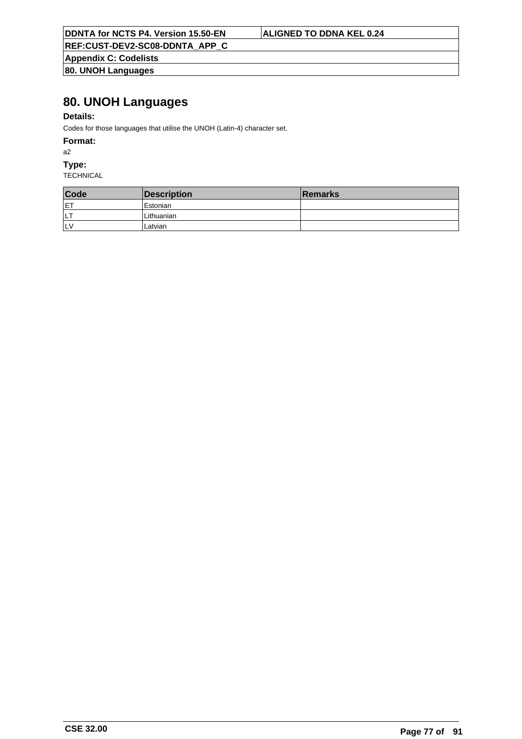**Appendix C: Codelists 80. UNOH Languages**

# **80. UNOH Languages**

## **Details:**

Codes for those languages that utilise the UNOH (Latin-4) character set.

### **Format:**

a2

## **Type:**

| Code | Description | <b>Remarks</b> |
|------|-------------|----------------|
| ET   | l Estonian  |                |
| LT   | Lithuanian  |                |
| llv  | Latvian     |                |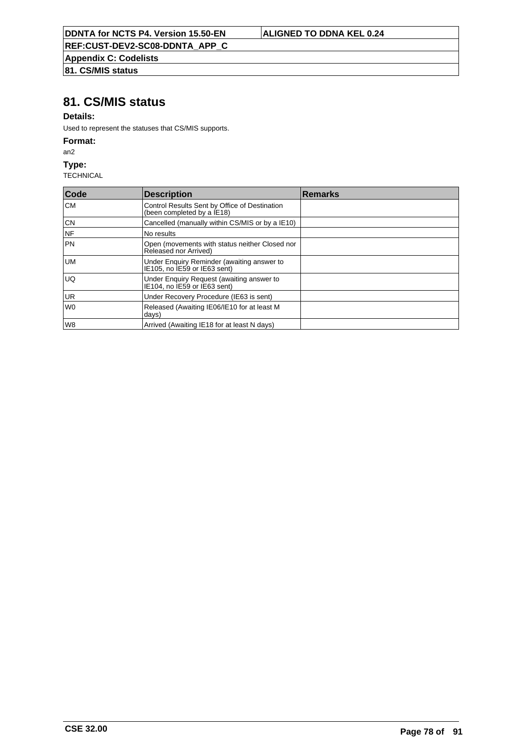**Appendix C: Codelists**

## **81. CS/MIS status**

## **81. CS/MIS status**

## **Details:**

Used to represent the statuses that CS/MIS supports.

### **Format:**

an2

### **Type:**

| Code            | <b>Description</b>                                                          | Remarks |
|-----------------|-----------------------------------------------------------------------------|---------|
| lсм             | Control Results Sent by Office of Destination<br>(been completed by a IE18) |         |
| CN              | Cancelled (manually within CS/MIS or by a IE10)                             |         |
| NF              | No results                                                                  |         |
| <b>PN</b>       | Open (movements with status neither Closed nor<br>Released nor Arrived)     |         |
| lum             | Under Enquiry Reminder (awaiting answer to<br>IE105, no IE59 or IE63 sent)  |         |
| luq             | Under Enquiry Request (awaiting answer to<br>IE104. no IE59 or IE63 sent)   |         |
| UR <sup>I</sup> | Under Recovery Procedure (IE63 is sent)                                     |         |
| l wo            | Released (Awaiting IE06/IE10 for at least M<br>days)                        |         |
| lw8             | Arrived (Awaiting IE18 for at least N days)                                 |         |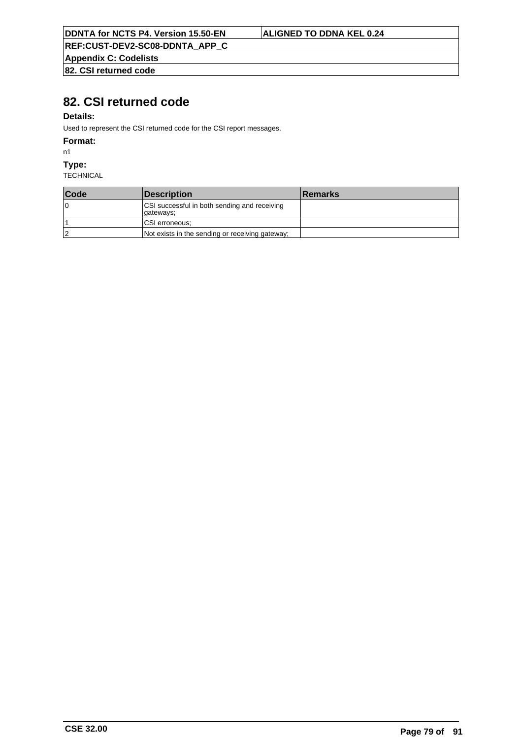**Appendix C: Codelists 82. CSI returned code**

# **82. CSI returned code**

## **Details:**

Used to represent the CSI returned code for the CSI report messages.

### **Format:**

n1

### **Type:**

| Code | <i><b>Description</b></i>                                  | <b>Remarks</b> |
|------|------------------------------------------------------------|----------------|
| 10   | CSI successful in both sending and receiving<br> qateways; |                |
|      | CSI erroneous:                                             |                |
| 2    | Not exists in the sending or receiving gateway;            |                |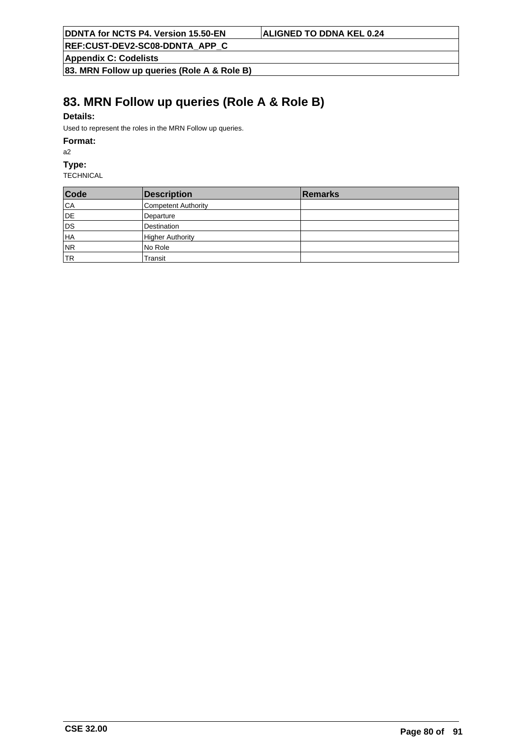**Appendix C: Codelists**

**83. MRN Follow up queries (Role A & Role B)**

# **83. MRN Follow up queries (Role A & Role B)**

## **Details:**

Used to represent the roles in the MRN Follow up queries.

### **Format:**

a2

### **Type:**

| Code      | Description             | Remarks |
|-----------|-------------------------|---------|
| CA        | Competent Authority     |         |
| DE        | Departure               |         |
| DS        | Destination             |         |
| HA        | <b>Higher Authority</b> |         |
| NR        | No Role                 |         |
| <b>TR</b> | Transit                 |         |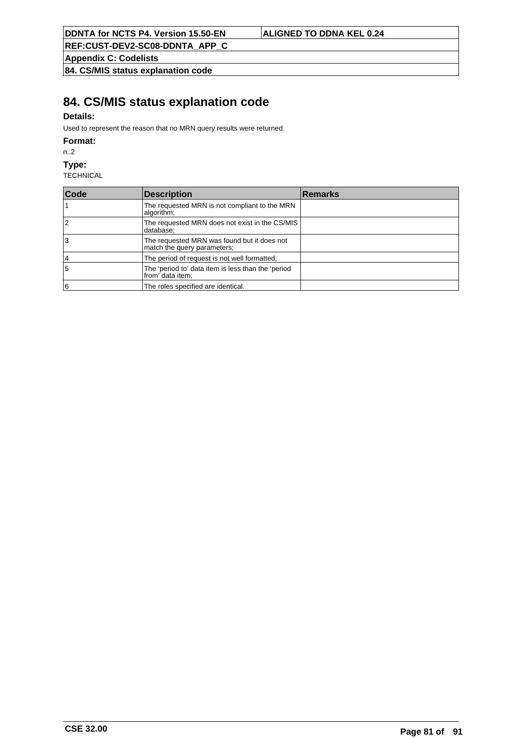**REF:CUST-DEV2-SC08-DDNTA\_APP\_C**

**Appendix C: Codelists**

**84. CS/MIS status explanation code**

# **84. CS/MIS status explanation code**

## **Details:**

Used to represent the reason that no MRN query results were returned.

### **Format:**

n..2

### **Type:**

| Code | Description                                                                | <b>Remarks</b> |
|------|----------------------------------------------------------------------------|----------------|
|      | The requested MRN is not compliant to the MRN<br>algorithm;                |                |
| 2    | The requested MRN does not exist in the CS/MIS<br>database;                |                |
| l3   | The requested MRN was found but it does not<br>match the query parameters; |                |
| 14   | The period of request is not well formatted;                               |                |
| 5    | The 'period to' data item is less than the 'period<br>from' data item;     |                |
| 16   | The roles specified are identical.                                         |                |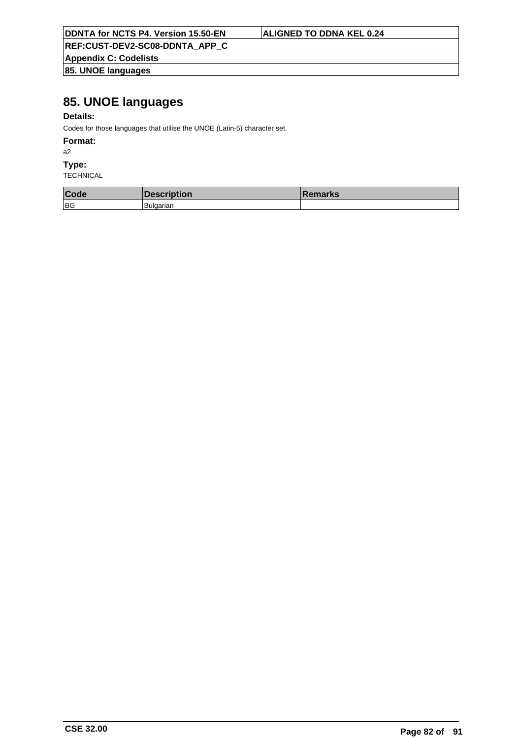**REF:CUST-DEV2-SC08-DDNTA\_APP\_C**

**Appendix C: Codelists 85. UNOE languages**

# **85. UNOE languages**

### **Details:**

Codes for those languages that utilise the UNOE (Latin-5) character set.

### **Format:**

a2

### **Type:**

| Code | escription | <b>Remarks</b> |
|------|------------|----------------|
| BG   | Bulgarian  |                |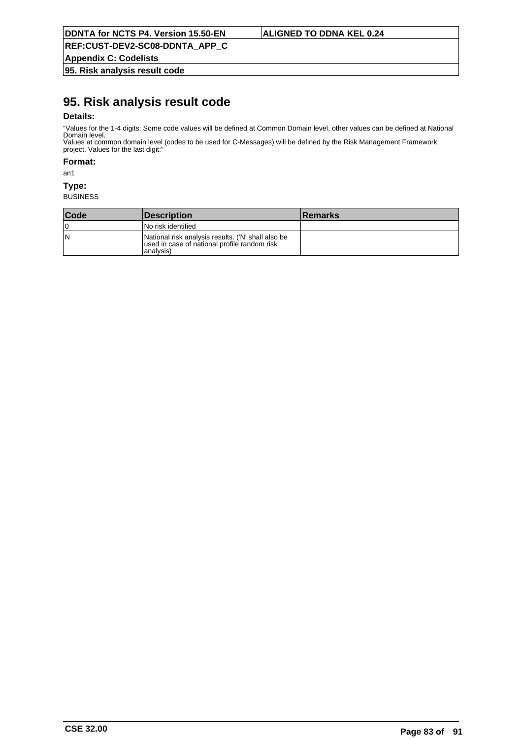**Appendix C: Codelists**

**95. Risk analysis result code**

# **95. Risk analysis result code**

### **Details:**

"Values for the 1-4 digits: Some code values will be defined at Common Domain level, other values can be defined at National Domain level. Values at common domain level (codes to be used for C-Messages) will be defined by the Risk Management Framework

project. Values for the last digit:"

**Format:**

an1

### **Type:**

| <b>Code</b> | <b>Description</b>                                                                                              | <b>Remarks</b> |
|-------------|-----------------------------------------------------------------------------------------------------------------|----------------|
| ١O          | l No risk identified                                                                                            |                |
| ١N          | National risk analysis results. ('N' shall also be<br>used in case of national profile random risk<br>analvsis) |                |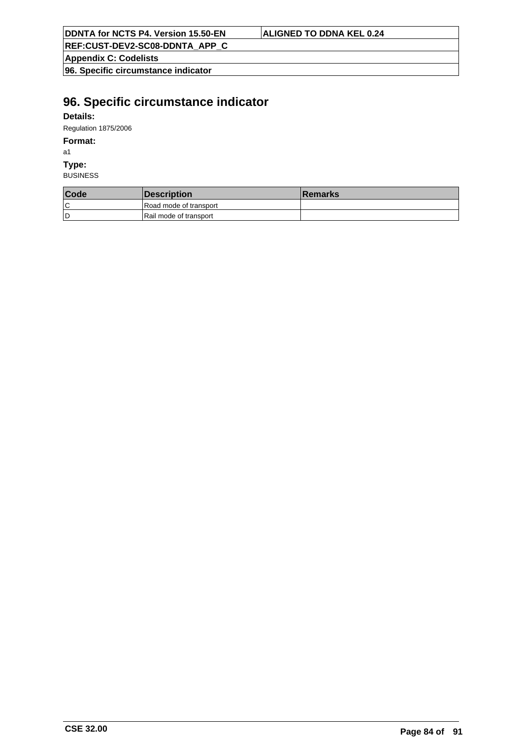| <b>DDNTA for NCTS P4. Version 15.50-EN</b> |  |
|--------------------------------------------|--|
|--------------------------------------------|--|

### **ALIGNED TO DDNA KEL 0.24**

**REF:CUST-DEV2-SC08-DDNTA\_APP\_C**

**Appendix C: Codelists**

**96. Specific circumstance indicator**

# **96. Specific circumstance indicator**

## **Details:**

Regulation 1875/2006

### **Format:**

a1

### **Type:**

| Code | <i><b>Description</b></i> | <b>Remarks</b> |
|------|---------------------------|----------------|
| ١C   | Road mode of transport    |                |
| ۱D   | Rail mode of transport    |                |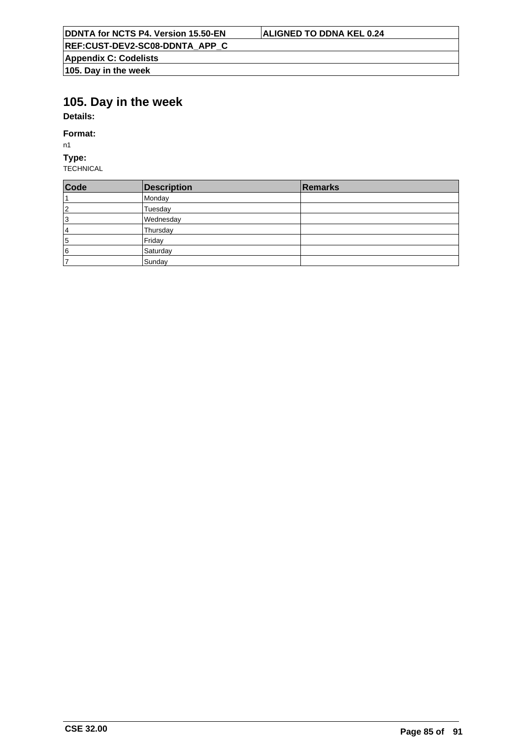# **105. Day in the week**

**Details:**

## **Format:**

n1

## **Type:**

| Code           | <b>Description</b> | Remarks |
|----------------|--------------------|---------|
|                | Monday             |         |
| $\overline{2}$ | Tuesday            |         |
| 13             | Wednesday          |         |
| 4              | Thursday           |         |
| 5              | Friday             |         |
| 6              | Saturday           |         |
|                | Sunday             |         |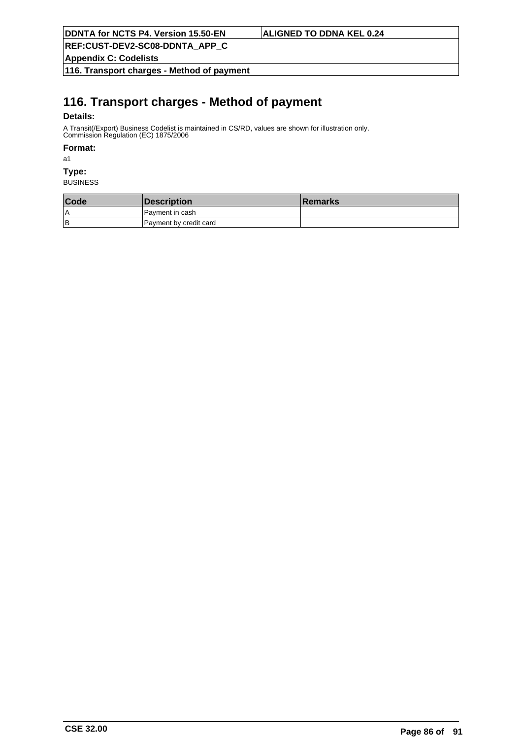**Appendix C: Codelists**

**116. Transport charges - Method of payment**

# **116. Transport charges - Method of payment**

## **Details:**

A Transit(/Export) Business Codelist is maintained in CS/RD, values are shown for illustration only. Commission Regulation (EC) 1875/2006

### **Format:**

a1

## **Type:**

| Code | <b>Description</b>     | <b>∣Remarks</b> |
|------|------------------------|-----------------|
| ۱A   | I Pavment in cash      |                 |
| lв   | Payment by credit card |                 |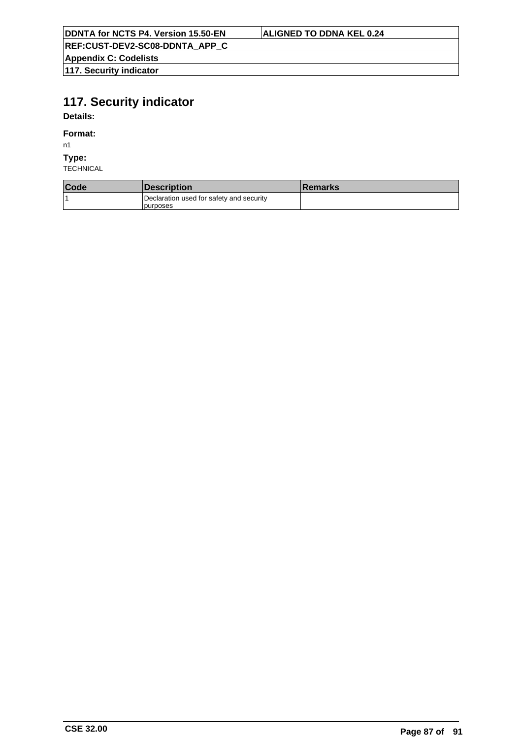**Appendix C: Codelists**

**117. Security indicator**

# **117. Security indicator**

**Details:**

### **Format:**

n1

## **Type:**

| Code | <i><b>Description</b></i>                             | <b>Remarks</b> |
|------|-------------------------------------------------------|----------------|
|      | Declaration used for safety and security<br>Ipurposes |                |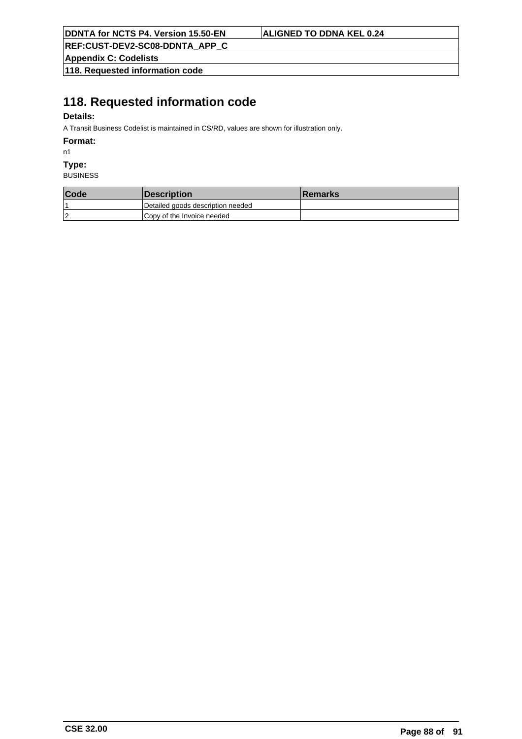**REF:CUST-DEV2-SC08-DDNTA\_APP\_C**

**Appendix C: Codelists**

**118. Requested information code**

# **118. Requested information code**

## **Details:**

A Transit Business Codelist is maintained in CS/RD, values are shown for illustration only.

**Format:**

n1

**Type:**

| Code           | <i><b>Description</b></i>         | <b>Remarks</b> |
|----------------|-----------------------------------|----------------|
|                | Detailed goods description needed |                |
| $\overline{2}$ | Copy of the Invoice needed        |                |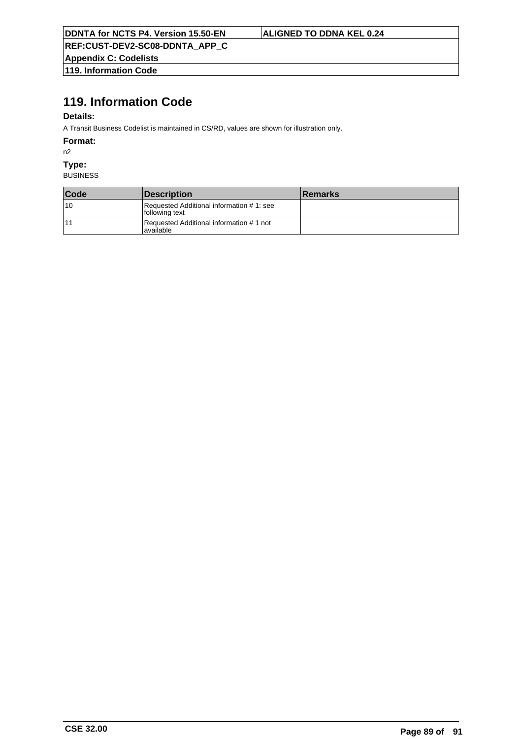**Appendix C: Codelists 119. Information Code**

# **119. Information Code**

### **Details:**

A Transit Business Codelist is maintained in CS/RD, values are shown for illustration only.

**Format:**

n2

**Type:**

| Code | <b>Description</b>                                         | <b>Remarks</b> |
|------|------------------------------------------------------------|----------------|
| 10   | Requested Additional information #1: see<br>following text |                |
| 11   | Requested Additional information #1 not<br>lavailable      |                |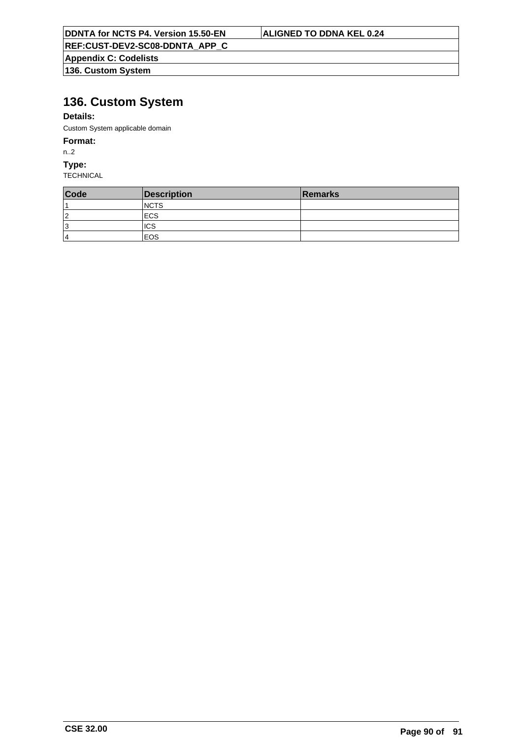**Appendix C: Codelists 136. Custom System**

# **136. Custom System**

## **Details:**

Custom System applicable domain

### **Format:**

n..2

**Type:**

| Code | Description  | Remarks |
|------|--------------|---------|
|      | <b>INCTS</b> |         |
| 2    | <b>ECS</b>   |         |
| 13   | <b>ICS</b>   |         |
| 4    | EOS          |         |